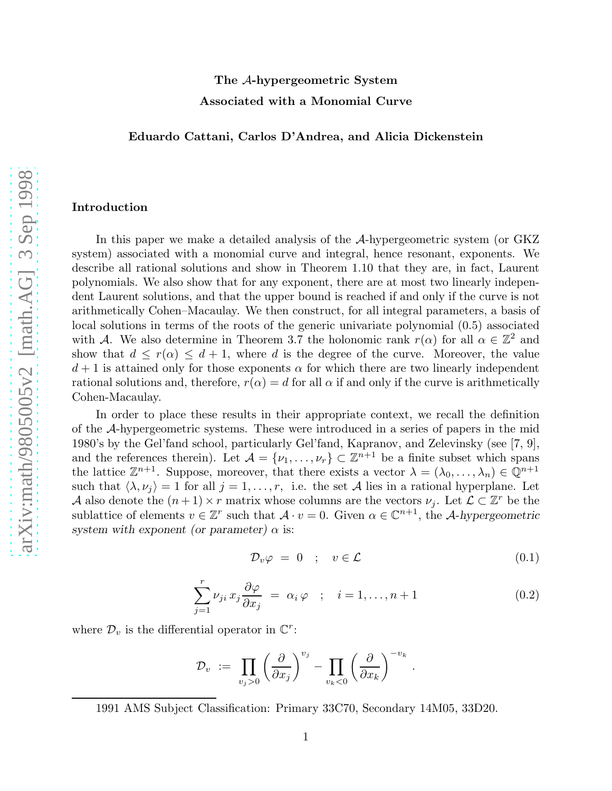# The A-hypergeometric System Associated with a Monomial Curve

# Eduardo Cattani, Carlos D'Andrea, and Alicia Dickenstein

#### Introduction

In this paper we make a detailed analysis of the A-hypergeometric system (or GKZ system) associated with a monomial curve and integral, hence resonant, exponents. We describe all rational solutions and show in Theorem 1.10 that they are, in fact, Laurent polynomials. We also show that for any exponent, there are at most two linearly independent Laurent solutions, and that the upper bound is reached if and only if the curve is not arithmetically Cohen–Macaulay. We then construct, for all integral parameters, a basis of local solutions in terms of the roots of the generic univariate polynomial (0.5) associated with A. We also determine in Theorem 3.7 the holonomic rank  $r(\alpha)$  for all  $\alpha \in \mathbb{Z}^2$  and show that  $d \leq r(\alpha) \leq d+1$ , where d is the degree of the curve. Moreover, the value  $d+1$  is attained only for those exponents  $\alpha$  for which there are two linearly independent rational solutions and, therefore,  $r(\alpha) = d$  for all  $\alpha$  if and only if the curve is arithmetically Cohen-Macaulay.

In order to place these results in their appropriate context, we recall the definition of the A-hypergeometric systems. These were introduced in a series of papers in the mid 1980's by the Gel'fand school, particularly Gel'fand, Kapranov, and Zelevinsky (see [7, 9], and the references therein). Let  $\mathcal{A} = \{\nu_1, \ldots, \nu_r\} \subset \mathbb{Z}^{n+1}$  be a finite subset which spans the lattice  $\mathbb{Z}^{n+1}$ . Suppose, moreover, that there exists a vector  $\lambda = (\lambda_0, \ldots, \lambda_n) \in \mathbb{Q}^{n+1}$ such that  $\langle \lambda, \nu_j \rangle = 1$  for all  $j = 1, \ldots, r$ , i.e. the set A lies in a rational hyperplane. Let A also denote the  $(n+1) \times r$  matrix whose columns are the vectors  $\nu_j$ . Let  $\mathcal{L} \subset \mathbb{Z}^r$  be the sublattice of elements  $v \in \mathbb{Z}^r$  such that  $\mathcal{A} \cdot v = 0$ . Given  $\alpha \in \mathbb{C}^{n+1}$ , the A-hypergeometric system with exponent (or parameter)  $\alpha$  is:

$$
\mathcal{D}_v \varphi = 0 \quad ; \quad v \in \mathcal{L} \tag{0.1}
$$

$$
\sum_{j=1}^{r} \nu_{ji} x_j \frac{\partial \varphi}{\partial x_j} = \alpha_i \varphi \quad ; \quad i = 1, \dots, n+1 \tag{0.2}
$$

where  $\mathcal{D}_v$  is the differential operator in  $\mathbb{C}^r$ :

$$
\mathcal{D}_v \ := \ \prod_{v_j>0} \left(\frac{\partial}{\partial x_j}\right)^{v_j} - \prod_{v_k<0} \left(\frac{\partial}{\partial x_k}\right)^{-v_k} \, .
$$

<sup>1991</sup> AMS Subject Classification: Primary 33C70, Secondary 14M05, 33D20.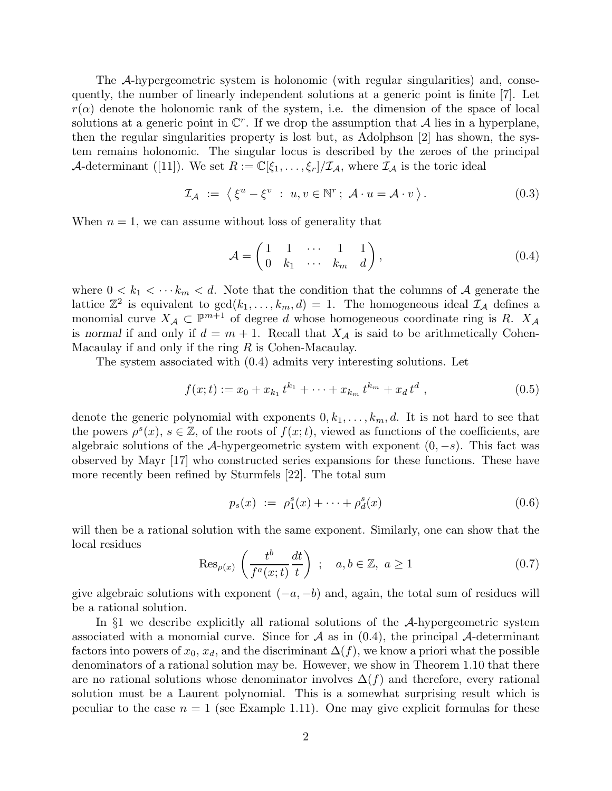The A-hypergeometric system is holonomic (with regular singularities) and, consequently, the number of linearly independent solutions at a generic point is finite [7]. Let  $r(\alpha)$  denote the holonomic rank of the system, i.e. the dimension of the space of local solutions at a generic point in  $\mathbb{C}^r$ . If we drop the assumption that A lies in a hyperplane, then the regular singularities property is lost but, as Adolphson [2] has shown, the system remains holonomic. The singular locus is described by the zeroes of the principal A-determinant ([11]). We set  $R := \mathbb{C}[\xi_1,\ldots,\xi_r]/\mathcal{I}_A$ , where  $\mathcal{I}_A$  is the toric ideal

$$
\mathcal{I}_{\mathcal{A}} := \left\langle \xi^u - \xi^v : u, v \in \mathbb{N}^r; \ \mathcal{A} \cdot u = \mathcal{A} \cdot v \right\rangle. \tag{0.3}
$$

When  $n = 1$ , we can assume without loss of generality that

$$
\mathcal{A} = \begin{pmatrix} 1 & 1 & \cdots & 1 & 1 \\ 0 & k_1 & \cdots & k_m & d \end{pmatrix},\tag{0.4}
$$

where  $0 < k_1 < \cdots k_m < d$ . Note that the condition that the columns of A generate the lattice  $\mathbb{Z}^2$  is equivalent to  $gcd(k_1, \ldots, k_m, d) = 1$ . The homogeneous ideal  $\mathcal{I}_{\mathcal{A}}$  defines a monomial curve  $X_{\mathcal{A}} \subset \mathbb{P}^{m+1}$  of degree d whose homogeneous coordinate ring is R.  $X_{\mathcal{A}}$ is normal if and only if  $d = m + 1$ . Recall that  $X_{\mathcal{A}}$  is said to be arithmetically Cohen-Macaulay if and only if the ring  $R$  is Cohen-Macaulay.

The system associated with (0.4) admits very interesting solutions. Let

$$
f(x;t) := x_0 + x_{k_1} t^{k_1} + \dots + x_{k_m} t^{k_m} + x_d t^d , \qquad (0.5)
$$

denote the generic polynomial with exponents  $0, k_1, \ldots, k_m, d$ . It is not hard to see that the powers  $\rho^{s}(x)$ ,  $s \in \mathbb{Z}$ , of the roots of  $f(x;t)$ , viewed as functions of the coefficients, are algebraic solutions of the A-hypergeometric system with exponent  $(0, -s)$ . This fact was observed by Mayr [17] who constructed series expansions for these functions. These have more recently been refined by Sturmfels [22]. The total sum

$$
p_s(x) := \rho_1^s(x) + \dots + \rho_d^s(x) \tag{0.6}
$$

will then be a rational solution with the same exponent. Similarly, one can show that the local residues

$$
\operatorname{Res}_{\rho(x)}\left(\frac{t^b}{f^a(x;t)}\frac{dt}{t}\right) \; ; \quad a, b \in \mathbb{Z}, \; a \ge 1 \tag{0.7}
$$

give algebraic solutions with exponent  $(-a, -b)$  and, again, the total sum of residues will be a rational solution.

In §1 we describe explicitly all rational solutions of the A-hypergeometric system associated with a monomial curve. Since for  $A$  as in  $(0.4)$ , the principal  $A$ -determinant factors into powers of  $x_0, x_d$ , and the discriminant  $\Delta(f)$ , we know a priori what the possible denominators of a rational solution may be. However, we show in Theorem 1.10 that there are no rational solutions whose denominator involves  $\Delta(f)$  and therefore, every rational solution must be a Laurent polynomial. This is a somewhat surprising result which is peculiar to the case  $n = 1$  (see Example 1.11). One may give explicit formulas for these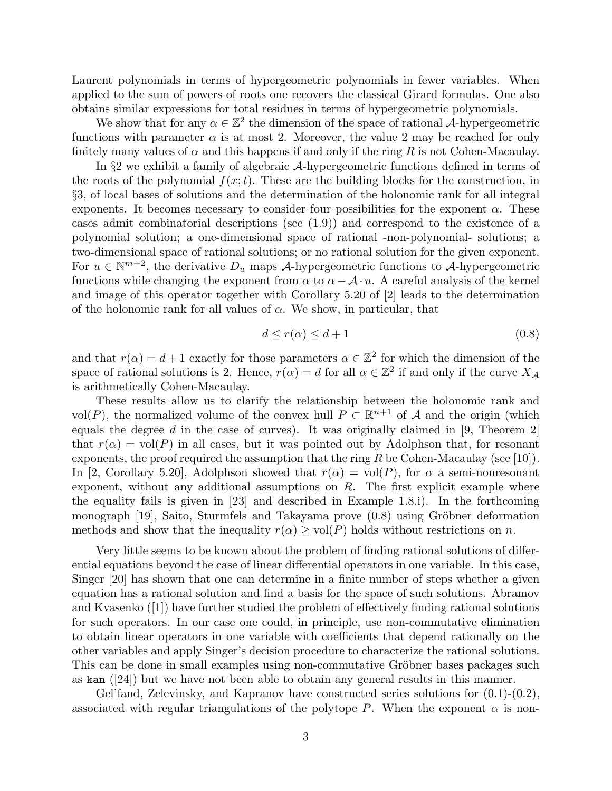Laurent polynomials in terms of hypergeometric polynomials in fewer variables. When applied to the sum of powers of roots one recovers the classical Girard formulas. One also obtains similar expressions for total residues in terms of hypergeometric polynomials.

We show that for any  $\alpha \in \mathbb{Z}^2$  the dimension of the space of rational A-hypergeometric functions with parameter  $\alpha$  is at most 2. Moreover, the value 2 may be reached for only finitely many values of  $\alpha$  and this happens if and only if the ring R is not Cohen-Macaulay.

In §2 we exhibit a family of algebraic A-hypergeometric functions defined in terms of the roots of the polynomial  $f(x;t)$ . These are the building blocks for the construction, in §3, of local bases of solutions and the determination of the holonomic rank for all integral exponents. It becomes necessary to consider four possibilities for the exponent  $\alpha$ . These cases admit combinatorial descriptions (see (1.9)) and correspond to the existence of a polynomial solution; a one-dimensional space of rational -non-polynomial- solutions; a two-dimensional space of rational solutions; or no rational solution for the given exponent. For  $u \in \mathbb{N}^{m+2}$ , the derivative  $D_u$  maps A-hypergeometric functions to A-hypergeometric functions while changing the exponent from  $\alpha$  to  $\alpha - \mathcal{A} \cdot u$ . A careful analysis of the kernel and image of this operator together with Corollary 5.20 of [2] leads to the determination of the holonomic rank for all values of  $\alpha$ . We show, in particular, that

$$
d \le r(\alpha) \le d+1 \tag{0.8}
$$

and that  $r(\alpha) = d + 1$  exactly for those parameters  $\alpha \in \mathbb{Z}^2$  for which the dimension of the space of rational solutions is 2. Hence,  $r(\alpha) = d$  for all  $\alpha \in \mathbb{Z}^2$  if and only if the curve  $X_{\mathcal{A}}$ is arithmetically Cohen-Macaulay.

These results allow us to clarify the relationship between the holonomic rank and vol(P), the normalized volume of the convex hull  $P \subset \mathbb{R}^{n+1}$  of A and the origin (which equals the degree d in the case of curves). It was originally claimed in  $[9,$  Theorem 2 that  $r(\alpha) = \text{vol}(P)$  in all cases, but it was pointed out by Adolphson that, for resonant exponents, the proof required the assumption that the ring  $R$  be Cohen-Macaulay (see [10]). In [2, Corollary 5.20], Adolphson showed that  $r(\alpha) = vol(P)$ , for  $\alpha$  a semi-nonresonant exponent, without any additional assumptions on  $R$ . The first explicit example where the equality fails is given in [23] and described in Example 1.8.i). In the forthcoming monograph  $[19]$ , Saito, Sturmfels and Takayama prove  $(0.8)$  using Gröbner deformation methods and show that the inequality  $r(\alpha) \geq vol(P)$  holds without restrictions on n.

Very little seems to be known about the problem of finding rational solutions of differential equations beyond the case of linear differential operators in one variable. In this case, Singer [20] has shown that one can determine in a finite number of steps whether a given equation has a rational solution and find a basis for the space of such solutions. Abramov and Kvasenko  $(1)$  have further studied the problem of effectively finding rational solutions for such operators. In our case one could, in principle, use non-commutative elimination to obtain linear operators in one variable with coefficients that depend rationally on the other variables and apply Singer's decision procedure to characterize the rational solutions. This can be done in small examples using non-commutative Gröbner bases packages such as kan  $(24)$  but we have not been able to obtain any general results in this manner.

Gel'fand, Zelevinsky, and Kapranov have constructed series solutions for  $(0.1)-(0.2)$ , associated with regular triangulations of the polytope P. When the exponent  $\alpha$  is non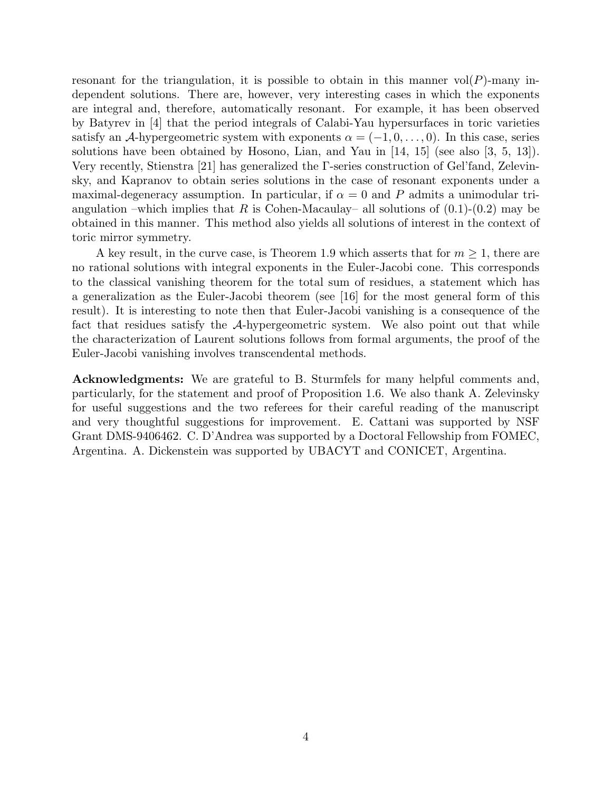resonant for the triangulation, it is possible to obtain in this manner  $vol(P)$ -many independent solutions. There are, however, very interesting cases in which the exponents are integral and, therefore, automatically resonant. For example, it has been observed by Batyrev in [4] that the period integrals of Calabi-Yau hypersurfaces in toric varieties satisfy an A-hypergeometric system with exponents  $\alpha = (-1, 0, \ldots, 0)$ . In this case, series solutions have been obtained by Hosono, Lian, and Yau in [14, 15] (see also [3, 5, 13]). Very recently, Stienstra [21] has generalized the Γ-series construction of Gel'fand, Zelevinsky, and Kapranov to obtain series solutions in the case of resonant exponents under a maximal-degeneracy assumption. In particular, if  $\alpha = 0$  and P admits a unimodular triangulation –which implies that R is Cohen-Macaulay– all solutions of  $(0.1)-(0.2)$  may be obtained in this manner. This method also yields all solutions of interest in the context of toric mirror symmetry.

A key result, in the curve case, is Theorem 1.9 which asserts that for  $m \geq 1$ , there are no rational solutions with integral exponents in the Euler-Jacobi cone. This corresponds to the classical vanishing theorem for the total sum of residues, a statement which has a generalization as the Euler-Jacobi theorem (see [16] for the most general form of this result). It is interesting to note then that Euler-Jacobi vanishing is a consequence of the fact that residues satisfy the A-hypergeometric system. We also point out that while the characterization of Laurent solutions follows from formal arguments, the proof of the Euler-Jacobi vanishing involves transcendental methods.

Acknowledgments: We are grateful to B. Sturmfels for many helpful comments and, particularly, for the statement and proof of Proposition 1.6. We also thank A. Zelevinsky for useful suggestions and the two referees for their careful reading of the manuscript and very thoughtful suggestions for improvement. E. Cattani was supported by NSF Grant DMS-9406462. C. D'Andrea was supported by a Doctoral Fellowship from FOMEC, Argentina. A. Dickenstein was supported by UBACYT and CONICET, Argentina.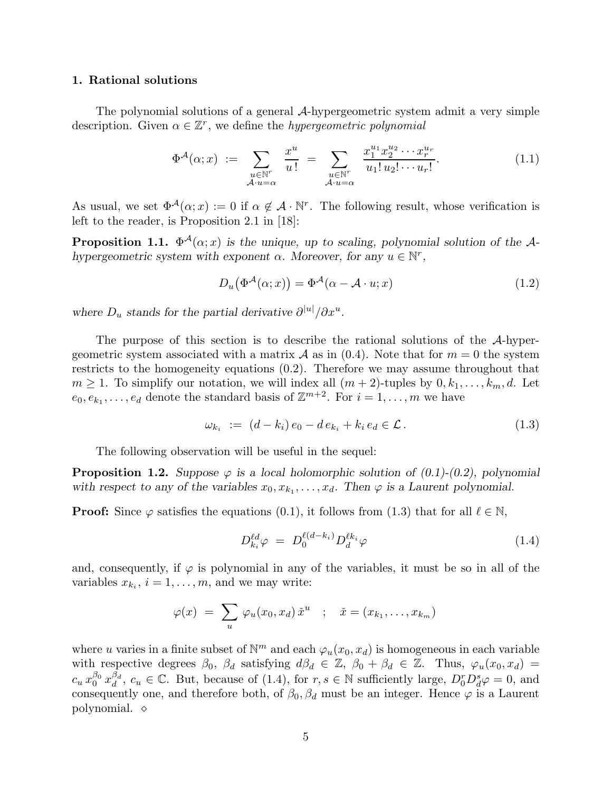### 1. Rational solutions

The polynomial solutions of a general A-hypergeometric system admit a very simple description. Given  $\alpha \in \mathbb{Z}^r$ , we define the *hypergeometric polynomial* 

$$
\Phi^{\mathcal{A}}(\alpha; x) := \sum_{\substack{u \in \mathbb{N}^r \\ \mathcal{A} \cdot u = \alpha}} \frac{x^u}{u!} = \sum_{\substack{u \in \mathbb{N}^r \\ \mathcal{A} \cdot u = \alpha}} \frac{x_1^{u_1} x_2^{u_2} \cdots x_r^{u_r}}{u_1! u_2! \cdots u_r!}.
$$
(1.1)

As usual, we set  $\Phi^{\mathcal{A}}(\alpha; x) := 0$  if  $\alpha \notin \mathcal{A} \cdot \mathbb{N}^r$ . The following result, whose verification is left to the reader, is Proposition 2.1 in [18]:

**Proposition 1.1.**  $\Phi^{\mathcal{A}}(\alpha; x)$  is the unique, up to scaling, polynomial solution of the  $\mathcal{A}$ hypergeometric system with exponent  $\alpha$ . Moreover, for any  $u \in \mathbb{N}^r$ ,

$$
D_u(\Phi^{\mathcal{A}}(\alpha; x)) = \Phi^{\mathcal{A}}(\alpha - \mathcal{A} \cdot u; x)
$$
\n(1.2)

where  $D_u$  stands for the partial derivative  $\partial^{|u|}/\partial x^u$ .

The purpose of this section is to describe the rational solutions of the A-hypergeometric system associated with a matrix A as in  $(0.4)$ . Note that for  $m = 0$  the system restricts to the homogeneity equations (0.2). Therefore we may assume throughout that  $m \geq 1$ . To simplify our notation, we will index all  $(m + 2)$ -tuples by  $0, k_1, \ldots, k_m, d$ . Let  $e_0, e_{k_1}, \ldots, e_d$  denote the standard basis of  $\mathbb{Z}^{m+2}$ . For  $i = 1, \ldots, m$  we have

$$
\omega_{k_i} := (d - k_i) e_0 - d e_{k_i} + k_i e_d \in \mathcal{L}.
$$
\n(1.3)

The following observation will be useful in the sequel:

**Proposition 1.2.** Suppose  $\varphi$  is a local holomorphic solution of  $(0.1)-(0.2)$ , polynomial with respect to any of the variables  $x_0, x_{k_1}, \ldots, x_d$ . Then  $\varphi$  is a Laurent polynomial.

**Proof:** Since  $\varphi$  satisfies the equations (0.1), it follows from (1.3) that for all  $\ell \in \mathbb{N}$ ,

$$
D_{k_i}^{\ell d} \varphi = D_0^{\ell(d-k_i)} D_d^{\ell k_i} \varphi \tag{1.4}
$$

and, consequently, if  $\varphi$  is polynomial in any of the variables, it must be so in all of the variables  $x_{k_i}$ ,  $i = 1, \ldots, m$ , and we may write:

$$
\varphi(x) = \sum_{u} \varphi_u(x_0, x_d) \, \dot{x}^u \quad ; \quad \dot{x} = (x_{k_1}, \dots, x_{k_m})
$$

where u varies in a finite subset of  $\mathbb{N}^m$  and each  $\varphi_u(x_0, x_d)$  is homogeneous in each variable with respective degrees  $\beta_0$ ,  $\beta_d$  satisfying  $d\beta_d \in \mathbb{Z}$ ,  $\beta_0 + \beta_d \in \mathbb{Z}$ . Thus,  $\varphi_u(x_0, x_d) =$  $c_u\,x_0^{\beta_0}\,x_d^{\beta_d}$  $d_a^d$ ,  $c_u \in \mathbb{C}$ . But, because of (1.4), for  $r, s \in \mathbb{N}$  sufficiently large,  $D_0^r D_d^s \varphi = 0$ , and consequently one, and therefore both, of  $\beta_0$ ,  $\beta_d$  must be an integer. Hence  $\varphi$  is a Laurent polynomial. ◇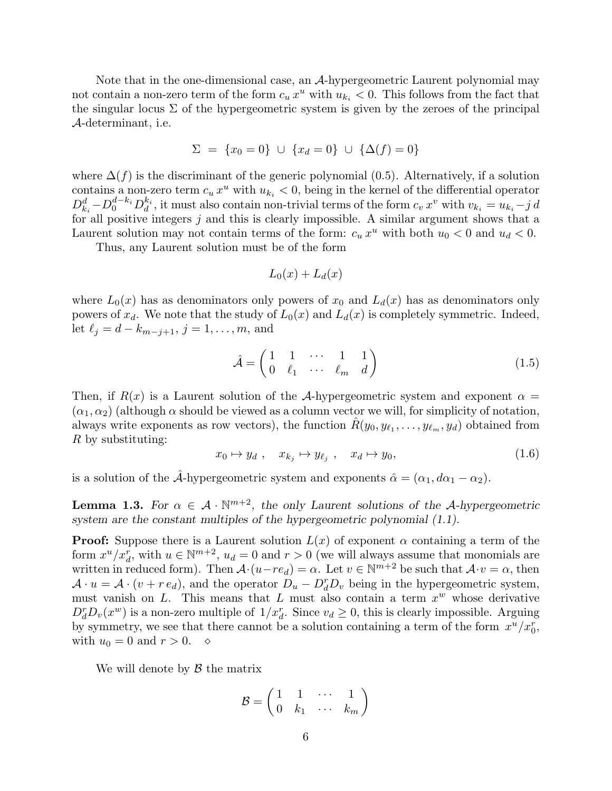Note that in the one-dimensional case, an  $\mathcal{A}$ -hypergeometric Laurent polynomial may not contain a non-zero term of the form  $c_u x^u$  with  $u_{k_i} < 0$ . This follows from the fact that the singular locus  $\Sigma$  of the hypergeometric system is given by the zeroes of the principal A-determinant, i.e.

$$
\Sigma = \{x_0 = 0\} \cup \{x_d = 0\} \cup \{\Delta(f) = 0\}
$$

where  $\Delta(f)$  is the discriminant of the generic polynomial (0.5). Alternatively, if a solution contains a non-zero term  $c_u x^u$  with  $u_{k_i} < 0$ , being in the kernel of the differential operator  $D_{k_i}^d - D_0^{d-k_i} D_d^{k_i}$  $\frac{k_i}{d}$ , it must also contain non-trivial terms of the form  $c_v x^v$  with  $v_{k_i} = u_{k_i} - j d$ for all positive integers  $j$  and this is clearly impossible. A similar argument shows that a Laurent solution may not contain terms of the form:  $c_u x^u$  with both  $u_0 < 0$  and  $u_d < 0$ .

Thus, any Laurent solution must be of the form

$$
L_0(x) + L_d(x)
$$

where  $L_0(x)$  has as denominators only powers of  $x_0$  and  $L_d(x)$  has as denominators only powers of  $x_d$ . We note that the study of  $L_0(x)$  and  $L_d(x)$  is completely symmetric. Indeed, let  $\ell_j = d - k_{m-j+1}, j = 1, ..., m$ , and

$$
\hat{\mathcal{A}} = \begin{pmatrix} 1 & 1 & \cdots & 1 & 1 \\ 0 & \ell_1 & \cdots & \ell_m & d \end{pmatrix} \tag{1.5}
$$

Then, if  $R(x)$  is a Laurent solution of the A-hypergeometric system and exponent  $\alpha =$  $(\alpha_1, \alpha_2)$  (although  $\alpha$  should be viewed as a column vector we will, for simplicity of notation, always write exponents as row vectors), the function  $\hat{R}(y_0, y_{\ell_1}, \ldots, y_{\ell_m}, y_d)$  obtained from R by substituting:

$$
x_0 \mapsto y_d \; , \quad x_{k_j} \mapsto y_{\ell_j} \; , \quad x_d \mapsto y_0, \tag{1.6}
$$

is a solution of the  $\hat{A}$ -hypergeometric system and exponents  $\hat{\alpha} = (\alpha_1, d\alpha_1 - \alpha_2)$ .

**Lemma 1.3.** For  $\alpha \in \mathcal{A} \cdot \mathbb{N}^{m+2}$ , the only Laurent solutions of the A-hypergeometric system are the constant multiples of the hypergeometric polynomial (1.1).

**Proof:** Suppose there is a Laurent solution  $L(x)$  of exponent  $\alpha$  containing a term of the form  $x^u/x_d^r$ , with  $u \in \mathbb{N}^{m+2}$ ,  $u_d = 0$  and  $r > 0$  (we will always assume that monomials are written in reduced form). Then  $\mathcal{A} \cdot (u-re_d) = \alpha$ . Let  $v \in \mathbb{N}^{m+2}$  be such that  $\mathcal{A} \cdot v = \alpha$ , then  $\mathcal{A} \cdot u = \mathcal{A} \cdot (v + r e_d)$ , and the operator  $D_u - D_d^r D_v$  being in the hypergeometric system, must vanish on  $L$ . This means that  $L$  must also contain a term  $x^w$  whose derivative  $D_d^r D_v(x^w)$  is a non-zero multiple of  $1/x_d^r$ . Since  $v_d \geq 0$ , this is clearly impossible. Arguing by symmetry, we see that there cannot be a solution containing a term of the form  $x^u/x_0^r$ , with  $u_0 = 0$  and  $r > 0$ .  $\diamond$ 

We will denote by  $\beta$  the matrix

$$
\mathcal{B} = \begin{pmatrix} 1 & 1 & \cdots & 1 \\ 0 & k_1 & \cdots & k_m \end{pmatrix}
$$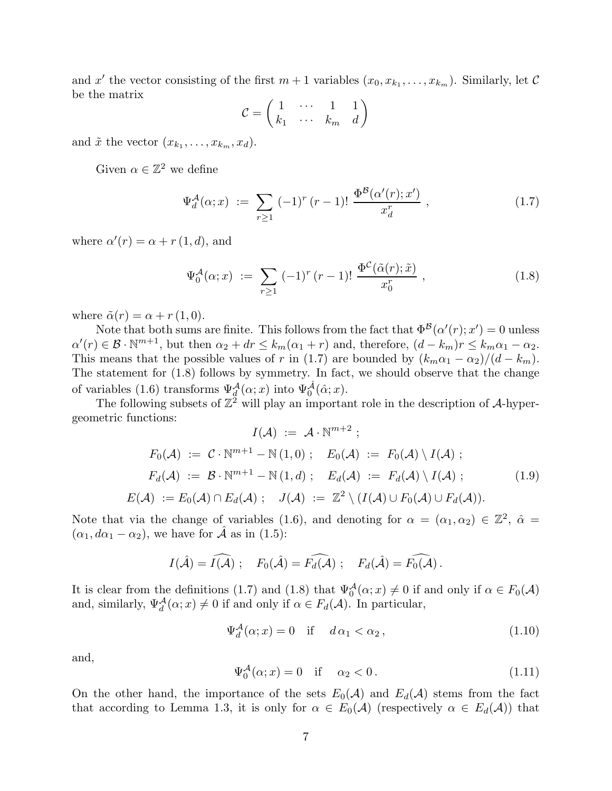and x' the vector consisting of the first  $m+1$  variables  $(x_0, x_{k_1}, \ldots, x_{k_m})$ . Similarly, let C be the matrix

$$
\mathcal{C} = \begin{pmatrix} 1 & \cdots & 1 & 1 \\ k_1 & \cdots & k_m & d \end{pmatrix}
$$

and  $\tilde{x}$  the vector  $(x_{k_1}, \ldots, x_{k_m}, x_d)$ .

Given  $\alpha \in \mathbb{Z}^2$  we define

$$
\Psi_d^{\mathcal{A}}(\alpha; x) := \sum_{r \ge 1} (-1)^r (r - 1)! \frac{\Phi^{\mathcal{B}}(\alpha'(r); x')}{x_d^r}, \qquad (1.7)
$$

where  $\alpha'(r) = \alpha + r(1, d)$ , and

$$
\Psi_0^{\mathcal{A}}(\alpha; x) := \sum_{r \ge 1} (-1)^r (r - 1)! \frac{\Phi^{\mathcal{C}}(\tilde{\alpha}(r); \tilde{x})}{x_0^r}, \qquad (1.8)
$$

where  $\tilde{\alpha}(r) = \alpha + r(1, 0)$ .

Note that both sums are finite. This follows from the fact that  $\Phi^{\mathcal{B}}(\alpha'(r);x')=0$  unless  $\alpha'(r) \in \mathcal{B} \cdot \mathbb{N}^{m+1}$ , but then  $\alpha_2 + dr \leq k_m(\alpha_1 + r)$  and, therefore,  $(d - k_m)r \leq k_m\alpha_1 - \alpha_2$ . This means that the possible values of r in (1.7) are bounded by  $(k_m\alpha_1 - \alpha_2)/(d - k_m)$ . The statement for (1.8) follows by symmetry. In fact, we should observe that the change of variables (1.6) transforms  $\Psi_d^{\mathcal{A}}(\alpha; x)$  into  $\Psi_0^{\hat{\mathcal{A}}}(\hat{\alpha}; x)$ .

The following subsets of  $\mathbb{Z}^2$  will play an important role in the description of A-hypergeometric functions:

$$
I(\mathcal{A}) := \mathcal{A} \cdot \mathbb{N}^{m+2} ;
$$
  
\n
$$
F_0(\mathcal{A}) := \mathcal{C} \cdot \mathbb{N}^{m+1} - \mathbb{N}(1,0) ; \quad E_0(\mathcal{A}) := F_0(\mathcal{A}) \setminus I(\mathcal{A}) ;
$$
  
\n
$$
F_d(\mathcal{A}) := \mathcal{B} \cdot \mathbb{N}^{m+1} - \mathbb{N}(1,d) ; \quad E_d(\mathcal{A}) := F_d(\mathcal{A}) \setminus I(\mathcal{A}) ;
$$
  
\n
$$
E(\mathcal{A}) := E_0(\mathcal{A}) \cap E_d(\mathcal{A}) ; \quad J(\mathcal{A}) := \mathbb{Z}^2 \setminus (I(\mathcal{A}) \cup F_0(\mathcal{A}) \cup F_d(\mathcal{A}) ).
$$
\n(1.9)

Note that via the change of variables (1.6), and denoting for  $\alpha = (\alpha_1, \alpha_2) \in \mathbb{Z}^2$ ,  $\hat{\alpha} =$  $(\alpha_1, d\alpha_1 - \alpha_2)$ , we have for  $\hat{\mathcal{A}}$  as in (1.5):

$$
I(\hat{\mathcal{A}}) = \widehat{I(\mathcal{A})}
$$
;  $F_0(\hat{\mathcal{A}}) = \widehat{F_d(\mathcal{A})}$ ;  $F_d(\hat{\mathcal{A}}) = \widehat{F_0(\mathcal{A})}$ .

It is clear from the definitions (1.7) and (1.8) that  $\Psi_0^{\mathcal{A}}(\alpha; x) \neq 0$  if and only if  $\alpha \in F_0(\mathcal{A})$ and, similarly,  $\Psi_d^{\mathcal{A}}(\alpha; x) \neq 0$  if and only if  $\alpha \in F_d(\mathcal{A})$ . In particular,

$$
\Psi_d^{\mathcal{A}}(\alpha; x) = 0 \quad \text{if} \quad d\alpha_1 < \alpha_2 \,, \tag{1.10}
$$

and,

$$
\Psi_0^{\mathcal{A}}(\alpha; x) = 0 \quad \text{if} \quad \alpha_2 < 0. \tag{1.11}
$$

On the other hand, the importance of the sets  $E_0(\mathcal{A})$  and  $E_d(\mathcal{A})$  stems from the fact that according to Lemma 1.3, it is only for  $\alpha \in E_0(\mathcal{A})$  (respectively  $\alpha \in E_d(\mathcal{A})$ ) that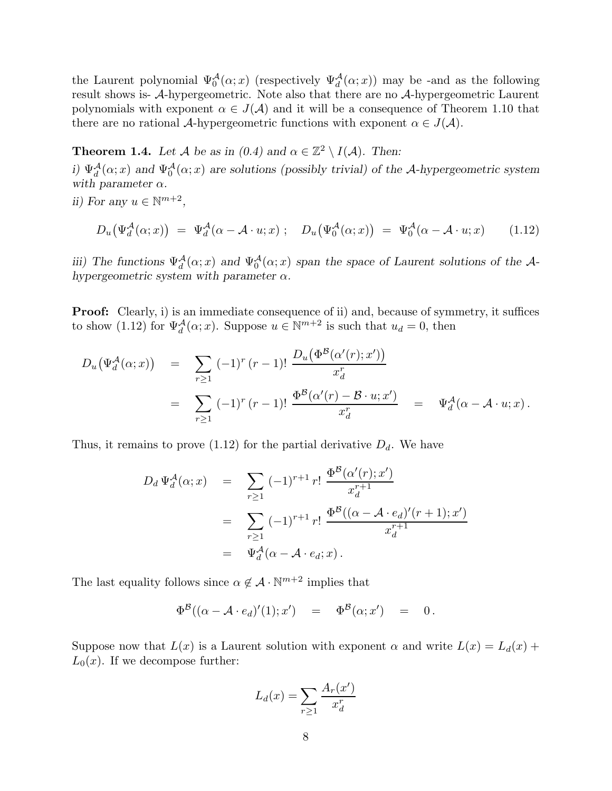the Laurent polynomial  $\Psi_0^{\mathcal{A}}(\alpha; x)$  (respectively  $\Psi_d^{\mathcal{A}}(\alpha; x)$ ) may be -and as the following result shows is- A-hypergeometric. Note also that there are no A-hypergeometric Laurent polynomials with exponent  $\alpha \in J(\mathcal{A})$  and it will be a consequence of Theorem 1.10 that there are no rational A-hypergeometric functions with exponent  $\alpha \in J(\mathcal{A})$ .

**Theorem 1.4.** Let A be as in  $(0.4)$  and  $\alpha \in \mathbb{Z}^2 \setminus I(\mathcal{A})$ . Then: i)  $\Psi_d^{\mathcal{A}}(\alpha; x)$  and  $\Psi_0^{\mathcal{A}}(\alpha; x)$  are solutions (possibly trivial) of the A-hypergeometric system with parameter  $\alpha$ .

ii) For any  $u \in \mathbb{N}^{m+2}$ ,

$$
D_u(\Psi_d^{\mathcal{A}}(\alpha; x)) = \Psi_d^{\mathcal{A}}(\alpha - \mathcal{A} \cdot u; x) ; \quad D_u(\Psi_0^{\mathcal{A}}(\alpha; x)) = \Psi_0^{\mathcal{A}}(\alpha - \mathcal{A} \cdot u; x) \quad (1.12)
$$

iii) The functions  $\Psi_d^{\mathcal{A}}(\alpha; x)$  and  $\Psi_0^{\mathcal{A}}(\alpha; x)$  span the space of Laurent solutions of the Ahypergeometric system with parameter  $\alpha$ .

**Proof:** Clearly, i) is an immediate consequence of ii) and, because of symmetry, it suffices to show (1.12) for  $\Psi_d^{\mathcal{A}}(\alpha; x)$ . Suppose  $u \in \mathbb{N}^{m+2}$  is such that  $u_d = 0$ , then

$$
D_u(\Psi_d^{\mathcal{A}}(\alpha; x)) = \sum_{r \ge 1} (-1)^r (r - 1)! \frac{D_u(\Phi^{\mathcal{B}}(\alpha'(r); x'))}{x_d^r}
$$
  
= 
$$
\sum_{r \ge 1} (-1)^r (r - 1)! \frac{\Phi^{\mathcal{B}}(\alpha'(r) - \mathcal{B} \cdot u; x')}{x_d^r} = \Psi_d^{\mathcal{A}}(\alpha - \mathcal{A} \cdot u; x).
$$

Thus, it remains to prove (1.12) for the partial derivative  $D_d$ . We have

$$
D_d \Psi_d^{\mathcal{A}}(\alpha; x) = \sum_{r \ge 1} (-1)^{r+1} r! \frac{\Phi^{\mathcal{B}}(\alpha'(r); x')}{x_d^{r+1}}
$$
  
= 
$$
\sum_{r \ge 1} (-1)^{r+1} r! \frac{\Phi^{\mathcal{B}}((\alpha - \mathcal{A} \cdot e_d)'(r+1); x')}{x_d^{r+1}}
$$
  
= 
$$
\Psi_d^{\mathcal{A}}(\alpha - \mathcal{A} \cdot e_d; x).
$$

The last equality follows since  $\alpha \notin \mathcal{A} \cdot \mathbb{N}^{m+2}$  implies that

$$
\Phi^{\mathcal{B}}((\alpha-\mathcal{A}\cdot e_d)'(1);x') = \Phi^{\mathcal{B}}(\alpha;x') = 0.
$$

Suppose now that  $L(x)$  is a Laurent solution with exponent  $\alpha$  and write  $L(x) = L_d(x) +$  $L_0(x)$ . If we decompose further:

$$
L_d(x) = \sum_{r \ge 1} \frac{A_r(x')}{x_d^r}
$$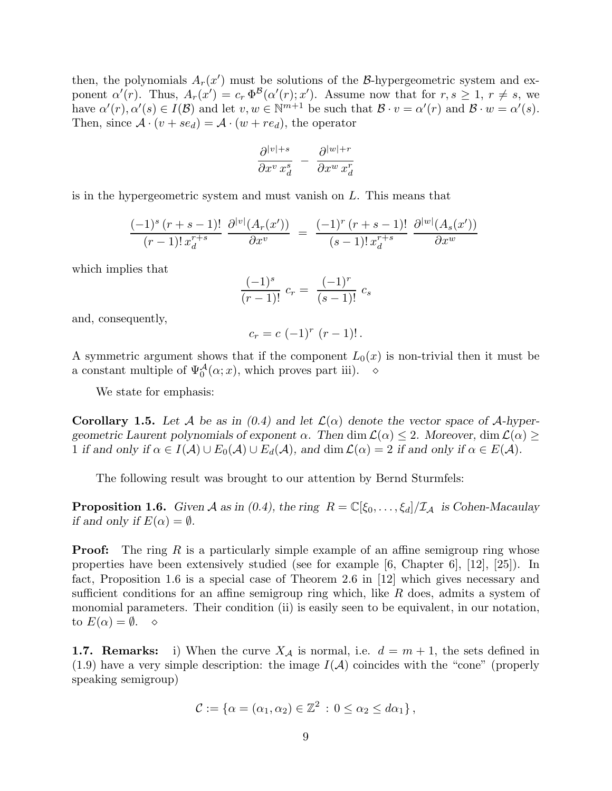then, the polynomials  $A_r(x')$  must be solutions of the B-hypergeometric system and exponent  $\alpha'(r)$ . Thus,  $A_r(x') = c_r \Phi^{\mathcal{B}}(\alpha'(r); x')$ . Assume now that for  $r, s \geq 1, r \neq s$ , we have  $\alpha'(r), \alpha'(s) \in I(\mathcal{B})$  and let  $v, w \in \mathbb{N}^{m+1}$  be such that  $\mathcal{B} \cdot v = \alpha'(r)$  and  $\mathcal{B} \cdot w = \alpha'(s)$ . Then, since  $\mathcal{A} \cdot (v + s e_d) = \mathcal{A} \cdot (w + r e_d)$ , the operator

$$
\frac{\partial^{|v|+s}}{\partial x^v \, x^s_d} \; - \; \frac{\partial^{|w|+r}}{\partial x^w \, x^r_d}
$$

is in the hypergeometric system and must vanish on L. This means that

$$
\frac{(-1)^{s}(r+s-1)!}{(r-1)!x_{d}^{r+s}}\frac{\partial^{|v|}(A_{r}(x'))}{\partial x^{v}} = \frac{(-1)^{r}(r+s-1)!}{(s-1)!x_{d}^{r+s}}\frac{\partial^{|w|}(A_{s}(x'))}{\partial x^{w}}
$$

which implies that

$$
\frac{(-1)^s}{(r-1)!} \ c_r = \frac{(-1)^r}{(s-1)!} \ c_s
$$

and, consequently,

$$
c_r = c (-1)^r (r - 1)! \, .
$$

A symmetric argument shows that if the component  $L_0(x)$  is non-trivial then it must be a constant multiple of  $\Psi_0^{\mathcal{A}}(\alpha; x)$ , which proves part iii).  $\diamond$ 

We state for emphasis:

**Corollary 1.5.** Let A be as in  $(0.4)$  and let  $\mathcal{L}(\alpha)$  denote the vector space of A-hypergeometric Laurent polynomials of exponent  $\alpha$ . Then dim  $\mathcal{L}(\alpha) \leq 2$ . Moreover, dim  $\mathcal{L}(\alpha) \geq$ 1 if and only if  $\alpha \in I(\mathcal{A}) \cup E_0(\mathcal{A}) \cup E_d(\mathcal{A})$ , and  $\dim \mathcal{L}(\alpha) = 2$  if and only if  $\alpha \in E(\mathcal{A})$ .

The following result was brought to our attention by Bernd Sturmfels:

**Proposition 1.6.** Given A as in (0.4), the ring  $R = \mathbb{C}[\xi_0, \ldots, \xi_d]/\mathcal{I}_A$  is Cohen-Macaulay if and only if  $E(\alpha) = \emptyset$ .

**Proof:** The ring R is a particularly simple example of an affine semigroup ring whose properties have been extensively studied (see for example [6, Chapter 6], [12], [25]). In fact, Proposition 1.6 is a special case of Theorem 2.6 in [12] which gives necessary and sufficient conditions for an affine semigroup ring which, like  $R$  does, admits a system of monomial parameters. Their condition (ii) is easily seen to be equivalent, in our notation, to  $E(\alpha) = \emptyset$ .  $\diamond$ 

**1.7. Remarks:** i) When the curve  $X_A$  is normal, i.e.  $d = m + 1$ , the sets defined in  $(1.9)$  have a very simple description: the image  $I(A)$  coincides with the "cone" (properly speaking semigroup)

$$
\mathcal{C} := \{ \alpha = (\alpha_1, \alpha_2) \in \mathbb{Z}^2 \, : \, 0 \leq \alpha_2 \leq d\alpha_1 \},
$$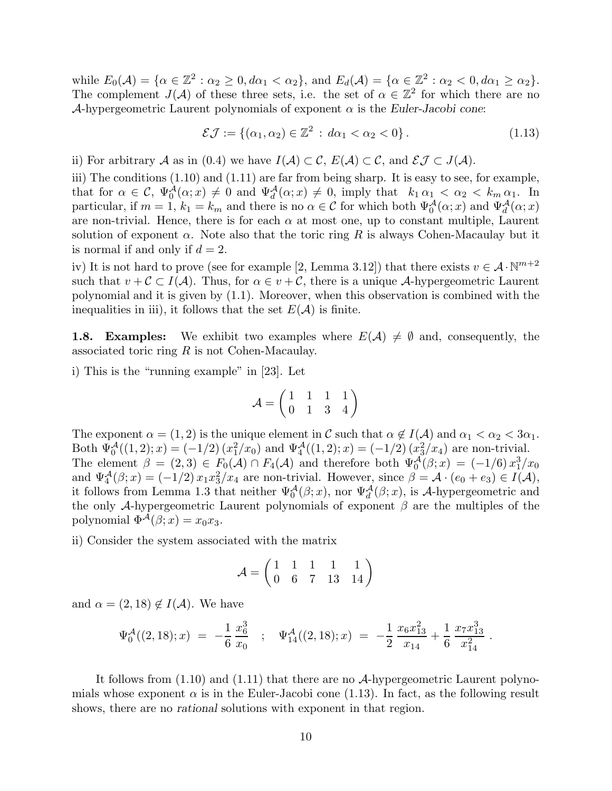while  $E_0(\mathcal{A}) = \{ \alpha \in \mathbb{Z}^2 : \alpha_2 \geq 0, d\alpha_1 < \alpha_2 \}$ , and  $E_d(\mathcal{A}) = \{ \alpha \in \mathbb{Z}^2 : \alpha_2 < 0, d\alpha_1 \geq \alpha_2 \}$ . The complement  $J(\mathcal{A})$  of these three sets, i.e. the set of  $\alpha \in \mathbb{Z}^2$  for which there are no A-hypergeometric Laurent polynomials of exponent  $\alpha$  is the Euler-Jacobi cone:

$$
\mathcal{E}\mathcal{J} := \{(\alpha_1, \alpha_2) \in \mathbb{Z}^2 \,:\, d\alpha_1 < \alpha_2 < 0\} \,. \tag{1.13}
$$

ii) For arbitrary A as in (0.4) we have  $I(A) \subset \mathcal{C}$ ,  $E(A) \subset \mathcal{C}$ , and  $\mathcal{E} \mathcal{J} \subset J(A)$ .

iii) The conditions  $(1.10)$  and  $(1.11)$  are far from being sharp. It is easy to see, for example, that for  $\alpha \in \mathcal{C}$ ,  $\Psi_0^{\mathcal{A}}(\alpha; x) \neq 0$  and  $\Psi_d^{\mathcal{A}}(\alpha; x) \neq 0$ , imply that  $k_1 \alpha_1 < \alpha_2 < k_m \alpha_1$ . In particular, if  $m = 1$ ,  $k_1 = k_m$  and there is no  $\alpha \in \mathcal{C}$  for which both  $\Psi_0^{\mathcal{A}}(\alpha; x)$  and  $\Psi_d^{\mathcal{A}}(\alpha; x)$ are non-trivial. Hence, there is for each  $\alpha$  at most one, up to constant multiple, Laurent solution of exponent  $\alpha$ . Note also that the toric ring R is always Cohen-Macaulay but it is normal if and only if  $d = 2$ .

iv) It is not hard to prove (see for example [2, Lemma 3.12]) that there exists  $v \in \mathcal{A} \cdot \mathbb{N}^{m+2}$ such that  $v + C \subset I(\mathcal{A})$ . Thus, for  $\alpha \in v + C$ , there is a unique A-hypergeometric Laurent polynomial and it is given by (1.1). Moreover, when this observation is combined with the inequalities in iii), it follows that the set  $E(\mathcal{A})$  is finite.

**1.8. Examples:** We exhibit two examples where  $E(\mathcal{A}) \neq \emptyset$  and, consequently, the associated toric ring  $R$  is not Cohen-Macaulay.

i) This is the "running example" in [23]. Let

$$
\mathcal{A} = \begin{pmatrix} 1 & 1 & 1 & 1 \\ 0 & 1 & 3 & 4 \end{pmatrix}
$$

The exponent  $\alpha = (1, 2)$  is the unique element in C such that  $\alpha \notin I(\mathcal{A})$  and  $\alpha_1 < \alpha_2 < 3\alpha_1$ . Both  $\Psi_0^{\mathcal{A}}((1,2);x) = (-1/2)(x_1^2/x_0)$  and  $\Psi_4^{\mathcal{A}}((1,2);x) = (-1/2)(x_3^2/x_4)$  are non-trivial. The element  $\beta = (2,3) \in F_0(\mathcal{A}) \cap F_4(\mathcal{A})$  and therefore both  $\Psi_0^{\mathcal{A}}(\beta; x) = (-1/6) x_1^3/x_0$ and  $\Psi_4^{\mathcal{A}}(\beta; x) = (-1/2) x_1 x_3^2 / x_4$  are non-trivial. However, since  $\beta = \mathcal{A} \cdot (e_0 + e_3) \in I(\mathcal{A}),$ it follows from Lemma 1.3 that neither  $\Psi_0^{\mathcal{A}}(\beta; x)$ , nor  $\Psi_d^{\mathcal{A}}(\beta; x)$ , is A-hypergeometric and the only A-hypergeometric Laurent polynomials of exponent  $\beta$  are the multiples of the polynomial  $\Phi^{\mathcal{A}}(\beta; x) = x_0 x_3$ .

ii) Consider the system associated with the matrix

$$
\mathcal{A}=\begin{pmatrix}1&1&1&1&1\\0&6&7&13&14\end{pmatrix}
$$

and  $\alpha = (2, 18) \notin I(\mathcal{A})$ . We have

$$
\Psi_0^{\mathcal{A}}((2,18);x) = -\frac{1}{6}\frac{x_6^3}{x_0} \quad ; \quad \Psi_{14}^{\mathcal{A}}((2,18);x) = -\frac{1}{2}\frac{x_6x_{13}^2}{x_{14}} + \frac{1}{6}\frac{x_7x_{13}^3}{x_{14}^2} \; .
$$

It follows from (1.10) and (1.11) that there are no A-hypergeometric Laurent polynomials whose exponent  $\alpha$  is in the Euler-Jacobi cone (1.13). In fact, as the following result shows, there are no rational solutions with exponent in that region.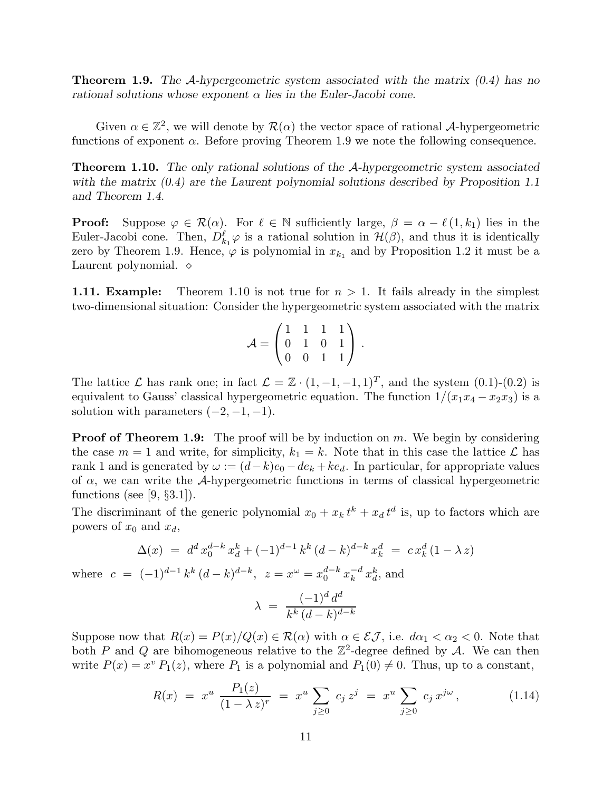**Theorem 1.9.** The A-hypergeometric system associated with the matrix  $(0.4)$  has no rational solutions whose exponent  $\alpha$  lies in the Euler-Jacobi cone.

Given  $\alpha \in \mathbb{Z}^2$ , we will denote by  $\mathcal{R}(\alpha)$  the vector space of rational A-hypergeometric functions of exponent  $\alpha$ . Before proving Theorem 1.9 we note the following consequence.

Theorem 1.10. The only rational solutions of the A-hypergeometric system associated with the matrix  $(0.4)$  are the Laurent polynomial solutions described by Proposition 1.1 and Theorem 1.4.

**Proof:** Suppose  $\varphi \in \mathcal{R}(\alpha)$ . For  $\ell \in \mathbb{N}$  sufficiently large,  $\beta = \alpha - \ell(1, k_1)$  lies in the Euler-Jacobi cone. Then,  $D_{k_1}^{\ell} \varphi$  is a rational solution in  $\mathcal{H}(\beta)$ , and thus it is identically zero by Theorem 1.9. Hence,  $\varphi$  is polynomial in  $x_{k_1}$  and by Proposition 1.2 it must be a Laurent polynomial. ◇

**1.11. Example:** Theorem 1.10 is not true for  $n > 1$ . It fails already in the simplest two-dimensional situation: Consider the hypergeometric system associated with the matrix

$$
\mathcal{A} = \begin{pmatrix} 1 & 1 & 1 & 1 \\ 0 & 1 & 0 & 1 \\ 0 & 0 & 1 & 1 \end{pmatrix}.
$$

The lattice  $\mathcal L$  has rank one; in fact  $\mathcal L = \mathbb{Z} \cdot (1, -1, -1, 1)^T$ , and the system  $(0.1)-(0.2)$  is equivalent to Gauss' classical hypergeometric equation. The function  $1/(x_1x_4 - x_2x_3)$  is a solution with parameters  $(-2, -1, -1)$ .

**Proof of Theorem 1.9:** The proof will be by induction on  $m$ . We begin by considering the case  $m = 1$  and write, for simplicity,  $k_1 = k$ . Note that in this case the lattice  $\mathcal{L}$  has rank 1 and is generated by  $\omega := (d-k)e_0 - de_k + ke_d$ . In particular, for appropriate values of  $\alpha$ , we can write the A-hypergeometric functions in terms of classical hypergeometric functions (see [9,  $\S 3.1$ ]).

The discriminant of the generic polynomial  $x_0 + x_k t^k + x_d t^d$  is, up to factors which are powers of  $x_0$  and  $x_d$ ,

$$
\Delta(x) = d^d x_0^{d-k} x_d^k + (-1)^{d-1} k^k (d-k)^{d-k} x_k^d = c x_k^d (1 - \lambda z)
$$

where  $c = (-1)^{d-1} k^k (d-k)^{d-k}, z = x^{\omega} = x_0^{d-k} x_k^{-d}$  $\frac{-d}{k} x_d^k$ , and

$$
\lambda = \frac{(-1)^d d^d}{k^k (d-k)^{d-k}}
$$

Suppose now that  $R(x) = P(x)/Q(x) \in \mathcal{R}(\alpha)$  with  $\alpha \in \mathcal{EJ}$ , i.e.  $d\alpha_1 < \alpha_2 < 0$ . Note that both P and Q are bihomogeneous relative to the  $\mathbb{Z}^2$ -degree defined by A. We can then write  $P(x) = x^v P_1(z)$ , where  $P_1$  is a polynomial and  $P_1(0) \neq 0$ . Thus, up to a constant,

$$
R(x) = x^u \frac{P_1(z)}{(1 - \lambda z)^r} = x^u \sum_{j \ge 0} c_j z^j = x^u \sum_{j \ge 0} c_j x^{j\omega}, \qquad (1.14)
$$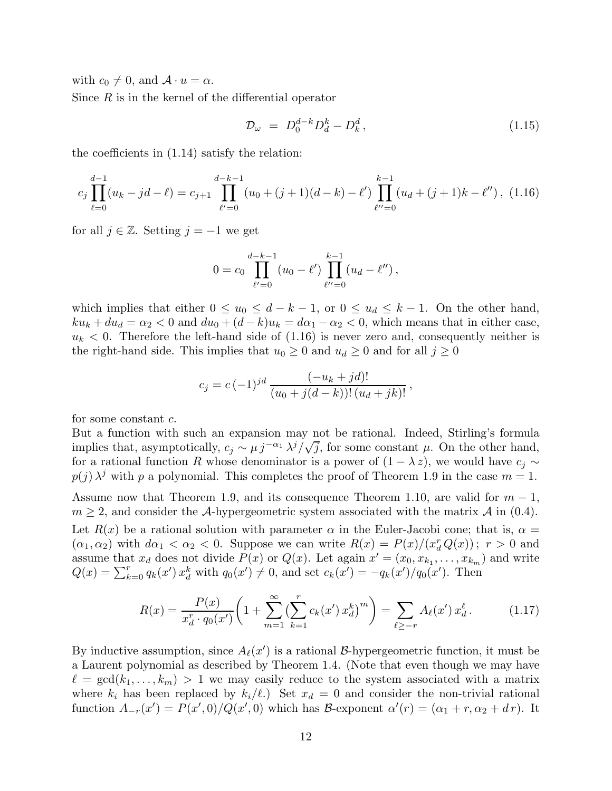with  $c_0 \neq 0$ , and  $\mathcal{A} \cdot u = \alpha$ .

Since  $R$  is in the kernel of the differential operator

$$
\mathcal{D}_{\omega} = D_0^{d-k} D_d^k - D_k^d, \qquad (1.15)
$$

the coefficients in (1.14) satisfy the relation:

$$
c_j \prod_{\ell=0}^{d-1} (u_k - jd - \ell) = c_{j+1} \prod_{\ell'=0}^{d-k-1} (u_0 + (j+1)(d-k) - \ell') \prod_{\ell''=0}^{k-1} (u_d + (j+1)k - \ell''), (1.16)
$$

for all  $j \in \mathbb{Z}$ . Setting  $j = -1$  we get

$$
0 = c_0 \prod_{\ell'=0}^{d-k-1} (u_0 - \ell') \prod_{\ell''=0}^{k-1} (u_d - \ell''),
$$

which implies that either  $0 \le u_0 \le d - k - 1$ , or  $0 \le u_d \le k - 1$ . On the other hand,  $ku_k + du_d = \alpha_2 < 0$  and  $du_0 + (d - k)u_k = d\alpha_1 - \alpha_2 < 0$ , which means that in either case,  $u_k < 0$ . Therefore the left-hand side of  $(1.16)$  is never zero and, consequently neither is the right-hand side. This implies that  $u_0 \geq 0$  and  $u_d \geq 0$  and for all  $j \geq 0$ 

$$
c_j = c (-1)^{jd} \frac{(-u_k + jd)!}{(u_0 + j(d-k))!(u_d + jk)!},
$$

for some constant c.

But a function with such an expansion may not be rational. Indeed, Stirling's formula implies that, asymptotically,  $c_j \sim \mu j^{-\alpha_1} \lambda^j/\sqrt{j}$ , for some constant  $\mu$ . On the other hand, for a rational function R whose denominator is a power of  $(1 - \lambda z)$ , we would have  $c_i \sim$  $p(j) \lambda^j$  with p a polynomial. This completes the proof of Theorem 1.9 in the case  $m = 1$ . Assume now that Theorem 1.9, and its consequence Theorem 1.10, are valid for  $m-1$ ,  $m \geq 2$ , and consider the A-hypergeometric system associated with the matrix A in (0.4).

Let  $R(x)$  be a rational solution with parameter  $\alpha$  in the Euler-Jacobi cone; that is,  $\alpha =$  $(\alpha_1, \alpha_2)$  with  $d\alpha_1 < \alpha_2 < 0$ . Suppose we can write  $R(x) = P(x)/(x_d^r Q(x))$ ;  $r > 0$  and assume that  $x_d$  does not divide  $P(x)$  or  $Q(x)$ . Let again  $x' = (x_0, x_{k_1}, \ldots, x_{k_m})$  and write  $Q(x) = \sum_{k=0}^{r} q_k(x') x_d^k$  with  $q_0(x') \neq 0$ , and set  $c_k(x') = -q_k(x')/q_0(x')$ . Then

$$
R(x) = \frac{P(x)}{x_d^r \cdot q_0(x')} \left( 1 + \sum_{m=1}^{\infty} \left( \sum_{k=1}^r c_k(x') x_d^k \right)^m \right) = \sum_{\ell \ge -r} A_\ell(x') x_d^\ell. \tag{1.17}
$$

By inductive assumption, since  $A_{\ell}(x')$  is a rational B-hypergeometric function, it must be a Laurent polynomial as described by Theorem 1.4. (Note that even though we may have  $\ell = \gcd(k_1, \ldots, k_m) > 1$  we may easily reduce to the system associated with a matrix where  $k_i$  has been replaced by  $k_i/\ell$ .) Set  $x_d = 0$  and consider the non-trivial rational function  $A_{-r}(x') = P(x',0)/Q(x',0)$  which has B-exponent  $\alpha'(r) = (\alpha_1 + r, \alpha_2 + dr)$ . It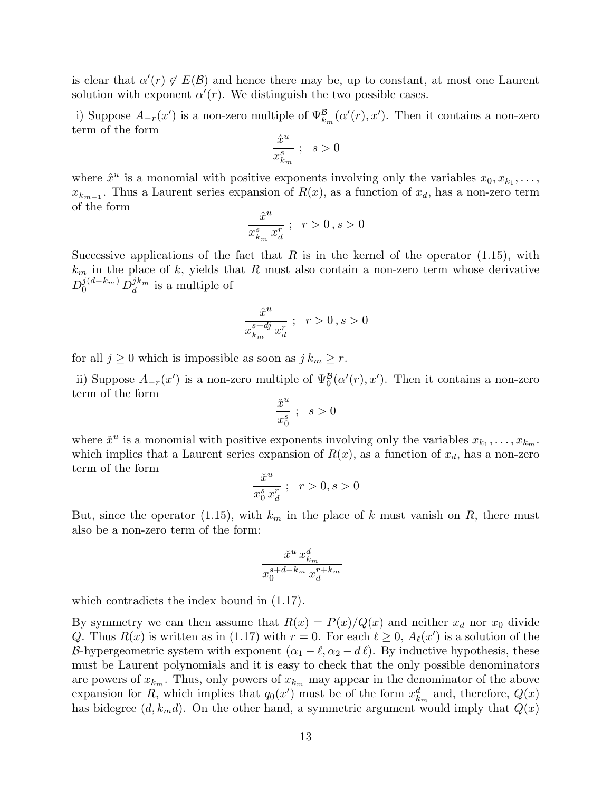is clear that  $\alpha'(r) \notin E(\mathcal{B})$  and hence there may be, up to constant, at most one Laurent solution with exponent  $\alpha'(r)$ . We distinguish the two possible cases.

i) Suppose  $A_{-r}(x')$  is a non-zero multiple of  $\Psi_{k_m}^{\mathcal{B}}(\alpha'(r), x')$ . Then it contains a non-zero term of the form

$$
\frac{\hat{x}^u}{x_{k_m}^s}\;;\;\;s>0
$$

where  $\hat{x}^u$  is a monomial with positive exponents involving only the variables  $x_0, x_{k_1}, \ldots$ ,  $x_{k_{m-1}}$ . Thus a Laurent series expansion of  $R(x)$ , as a function of  $x_d$ , has a non-zero term of the form

$$
\frac{\hat{x}^u}{x_{k_m}^s\,x_d^r}\;;\;\;r>0\,,s>0
$$

Successive applications of the fact that R is in the kernel of the operator  $(1.15)$ , with  $k<sub>m</sub>$  in the place of k, yields that R must also contain a non-zero term whose derivative  $D_0^{j(d-k_m)}\,D_d^{jk_m}$  $\frac{J^{k_m}}{d}$  is a multiple of

$$
\frac{\hat{x}^u}{x_{k_m}^{s+d\!j}\,x_d^r};\ \ r>0\,,s>0
$$

for all  $j \geq 0$  which is impossible as soon as  $j k_m \geq r$ .

ii) Suppose  $A_{-r}(x')$  is a non-zero multiple of  $\Psi_0^{\mathcal{B}}(\alpha'(r), x')$ . Then it contains a non-zero term of the form u

$$
\frac{\check{x}^u}{x_0^s} \; ; \; s > 0
$$

where  $\check{x}^u$  is a monomial with positive exponents involving only the variables  $x_{k_1}, \ldots, x_{k_m}$ . which implies that a Laurent series expansion of  $R(x)$ , as a function of  $x_d$ , has a non-zero term of the form

$$
\frac{\check{x}^u}{x_0^s x_d^r} \; ; \; \; r > 0, s > 0
$$

But, since the operator (1.15), with  $k_m$  in the place of k must vanish on R, there must also be a non-zero term of the form:

$$
\frac{\check{x}^{u}\,x_{k_m}^d}{x_0^{s+d-k_m}\,x_d^{r+k_m}}
$$

which contradicts the index bound in  $(1.17)$ .

By symmetry we can then assume that  $R(x) = P(x)/Q(x)$  and neither  $x<sub>d</sub>$  nor  $x<sub>0</sub>$  divide Q. Thus  $R(x)$  is written as in (1.17) with  $r = 0$ . For each  $\ell \geq 0$ ,  $A_{\ell}(x')$  is a solution of the B-hypergeometric system with exponent  $(\alpha_1 - \ell, \alpha_2 - d\ell)$ . By inductive hypothesis, these must be Laurent polynomials and it is easy to check that the only possible denominators are powers of  $x_{k_m}$ . Thus, only powers of  $x_{k_m}$  may appear in the denominator of the above expansion for R, which implies that  $q_0(x')$  must be of the form  $x_{k_m}^d$  and, therefore,  $Q(x)$ has bidegree  $(d, k_m d)$ . On the other hand, a symmetric argument would imply that  $Q(x)$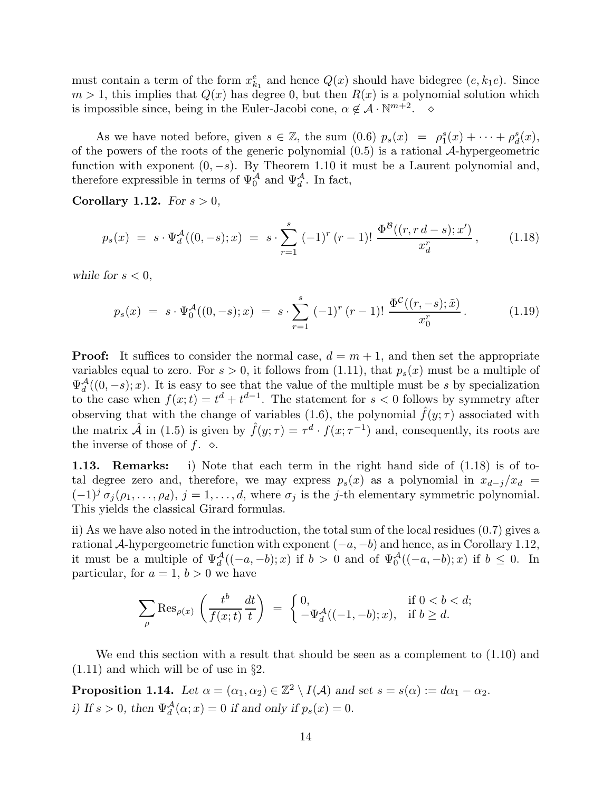must contain a term of the form  $x_{k_1}^e$  and hence  $Q(x)$  should have bidegree  $(e, k_1e)$ . Since  $m > 1$ , this implies that  $Q(x)$  has degree 0, but then  $R(x)$  is a polynomial solution which is impossible since, being in the Euler-Jacobi cone,  $\alpha \notin \mathcal{A} \cdot \mathbb{N}^{m+2}$ .  $\diamond$ 

As we have noted before, given  $s \in \mathbb{Z}$ , the sum  $(0.6)$   $p_s(x) = \rho_1^s(x) + \cdots + \rho_d^s(x)$ , of the powers of the roots of the generic polynomial  $(0.5)$  is a rational A-hypergeometric function with exponent  $(0, -s)$ . By Theorem 1.10 it must be a Laurent polynomial and, therefore expressible in terms of  $\Psi_0^{\mathcal{A}}$  and  $\Psi_d^{\mathcal{A}}$ . In fact,

Corollary 1.12. For  $s > 0$ ,

$$
p_s(x) = s \cdot \Psi_d^{\mathcal{A}}((0, -s); x) = s \cdot \sum_{r=1}^s (-1)^r (r-1)! \frac{\Phi^{\mathcal{B}}((r, rd-s); x')}{x_d^r}, \quad (1.18)
$$

while for  $s < 0$ ,

$$
p_s(x) = s \cdot \Psi_0^{\mathcal{A}}((0, -s); x) = s \cdot \sum_{r=1}^s (-1)^r (r-1)! \frac{\Phi^{\mathcal{C}}((r, -s); \tilde{x})}{x_0^r}.
$$
 (1.19)

**Proof:** It suffices to consider the normal case,  $d = m + 1$ , and then set the appropriate variables equal to zero. For  $s > 0$ , it follows from (1.11), that  $p_s(x)$  must be a multiple of  $\Psi_d^{\mathcal{A}}((0,-s);x)$ . It is easy to see that the value of the multiple must be s by specialization to the case when  $f(x;t) = t^d + t^{d-1}$ . The statement for  $s < 0$  follows by symmetry after observing that with the change of variables (1.6), the polynomial  $\hat{f}(y; \tau)$  associated with the matrix  $\hat{\mathcal{A}}$  in (1.5) is given by  $\hat{f}(y;\tau) = \tau^d \cdot f(x;\tau^{-1})$  and, consequently, its roots are the inverse of those of f.  $\diamond$ .

1.13. Remarks: i) Note that each term in the right hand side of (1.18) is of total degree zero and, therefore, we may express  $p_s(x)$  as a polynomial in  $x_{d-j}/x_d =$  $(-1)^{j} \sigma_{j}(\rho_{1},\ldots,\rho_{d}), j = 1,\ldots,d$ , where  $\sigma_{j}$  is the j-th elementary symmetric polynomial. This yields the classical Girard formulas.

ii) As we have also noted in the introduction, the total sum of the local residues (0.7) gives a rational A-hypergeometric function with exponent  $(-a, -b)$  and hence, as in Corollary 1.12, it must be a multiple of  $\Psi_d^{\mathcal{A}}((-a,-b);x)$  if  $b > 0$  and of  $\Psi_0^{\mathcal{A}}((-a,-b);x)$  if  $b \leq 0$ . In particular, for  $a = 1, b > 0$  we have

$$
\sum_{\rho} \operatorname{Res}_{\rho(x)} \left( \frac{t^b}{f(x;t)} \frac{dt}{t} \right) \ = \ \begin{cases} \ 0, & \text{if } 0 < b < d; \\ \ -\Psi^{\mathcal{A}}_d((-1,-b);x), & \text{if } b \geq d. \end{cases}
$$

We end this section with a result that should be seen as a complement to  $(1.10)$  and (1.11) and which will be of use in §2.

**Proposition 1.14.** Let  $\alpha = (\alpha_1, \alpha_2) \in \mathbb{Z}^2 \setminus I(\mathcal{A})$  and set  $s = s(\alpha) := d\alpha_1 - \alpha_2$ . i) If  $s > 0$ , then  $\Psi_d^{\mathcal{A}}(\alpha; x) = 0$  if and only if  $p_s(x) = 0$ .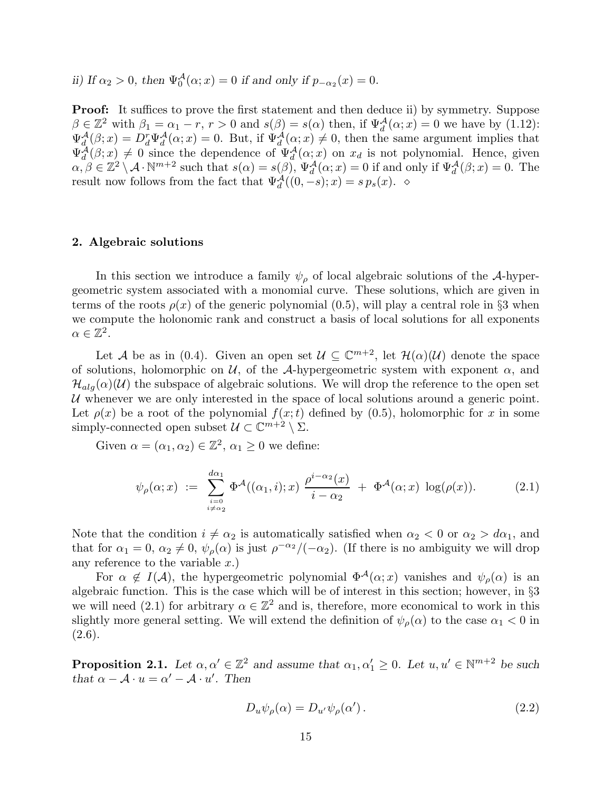ii) If  $\alpha_2 > 0$ , then  $\Psi_0^{\mathcal{A}}(\alpha; x) = 0$  if and only if  $p_{-\alpha_2}(x) = 0$ .

**Proof:** It suffices to prove the first statement and then deduce ii) by symmetry. Suppose  $\beta \in \mathbb{Z}^2$  with  $\beta_1 = \alpha_1 - r$ ,  $r > 0$  and  $s(\beta) = s(\alpha)$  then, if  $\Psi_d^{\mathcal{A}}(\alpha; x) = 0$  we have by (1.12):  $\Psi_d^{\mathcal{A}}(\beta; x) = D_d^r \Psi_d^{\mathcal{A}}(\alpha; x) = 0$ . But, if  $\Psi_d^{\mathcal{A}}(\alpha; x) \neq 0$ , then the same argument implies that  $\Psi_d^{\mathcal{A}}(\beta; x) \neq 0$  since the dependence of  $\Psi_d^{\mathcal{A}}(\alpha; x)$  on  $x_d$  is not polynomial. Hence, given  $\alpha, \beta \in \mathbb{Z}^2 \setminus \mathcal{A} \cdot \mathbb{N}^{m+2}$  such that  $s(\alpha) = s(\beta), \Psi_d^{\mathcal{A}}(\alpha; x) = 0$  if and only if  $\Psi_d^{\mathcal{A}}(\beta; x) = 0$ . The result now follows from the fact that  $\Psi_d^{\mathcal{A}}((0,-s);x) = s p_s(x)$ . ◇

## 2. Algebraic solutions

In this section we introduce a family  $\psi_{\rho}$  of local algebraic solutions of the A-hypergeometric system associated with a monomial curve. These solutions, which are given in terms of the roots  $\rho(x)$  of the generic polynomial (0.5), will play a central role in §3 when we compute the holonomic rank and construct a basis of local solutions for all exponents  $\alpha \in \mathbb{Z}^2$ .

Let A be as in (0.4). Given an open set  $\mathcal{U} \subseteq \mathbb{C}^{m+2}$ , let  $\mathcal{H}(\alpha)(\mathcal{U})$  denote the space of solutions, holomorphic on  $\mathcal{U}$ , of the A-hypergeometric system with exponent  $\alpha$ , and  $\mathcal{H}_{alg}(\alpha)(\mathcal{U})$  the subspace of algebraic solutions. We will drop the reference to the open set U whenever we are only interested in the space of local solutions around a generic point. Let  $\rho(x)$  be a root of the polynomial  $f(x;t)$  defined by (0.5), holomorphic for x in some simply-connected open subset  $\mathcal{U} \subset \mathbb{C}^{m+2} \setminus \Sigma$ .

Given  $\alpha = (\alpha_1, \alpha_2) \in \mathbb{Z}^2$ ,  $\alpha_1 \geq 0$  we define:

$$
\psi_{\rho}(\alpha; x) := \sum_{\substack{i=0 \ i \neq \alpha_2}}^{d\alpha_1} \Phi^{\mathcal{A}}((\alpha_1, i); x) \frac{\rho^{i-\alpha_2}(x)}{i - \alpha_2} + \Phi^{\mathcal{A}}(\alpha; x) \log(\rho(x)). \tag{2.1}
$$

Note that the condition  $i \neq \alpha_2$  is automatically satisfied when  $\alpha_2 < 0$  or  $\alpha_2 > d\alpha_1$ , and that for  $\alpha_1 = 0$ ,  $\alpha_2 \neq 0$ ,  $\psi_\rho(\alpha)$  is just  $\rho^{-\alpha_2}/(-\alpha_2)$ . (If there is no ambiguity we will drop any reference to the variable  $x$ .)

For  $\alpha \notin I(\mathcal{A})$ , the hypergeometric polynomial  $\Phi^{\mathcal{A}}(\alpha; x)$  vanishes and  $\psi_{\rho}(\alpha)$  is an algebraic function. This is the case which will be of interest in this section; however, in §3 we will need (2.1) for arbitrary  $\alpha \in \mathbb{Z}^2$  and is, therefore, more economical to work in this slightly more general setting. We will extend the definition of  $\psi_{\rho}(\alpha)$  to the case  $\alpha_1 < 0$  in  $(2.6).$ 

**Proposition 2.1.** Let  $\alpha, \alpha' \in \mathbb{Z}^2$  and assume that  $\alpha_1, \alpha'_1 \geq 0$ . Let  $u, u' \in \mathbb{N}^{m+2}$  be such that  $\alpha - \mathcal{A} \cdot u = \alpha' - \mathcal{A} \cdot u'$ . Then

$$
D_u \psi_\rho(\alpha) = D_{u'} \psi_\rho(\alpha'). \tag{2.2}
$$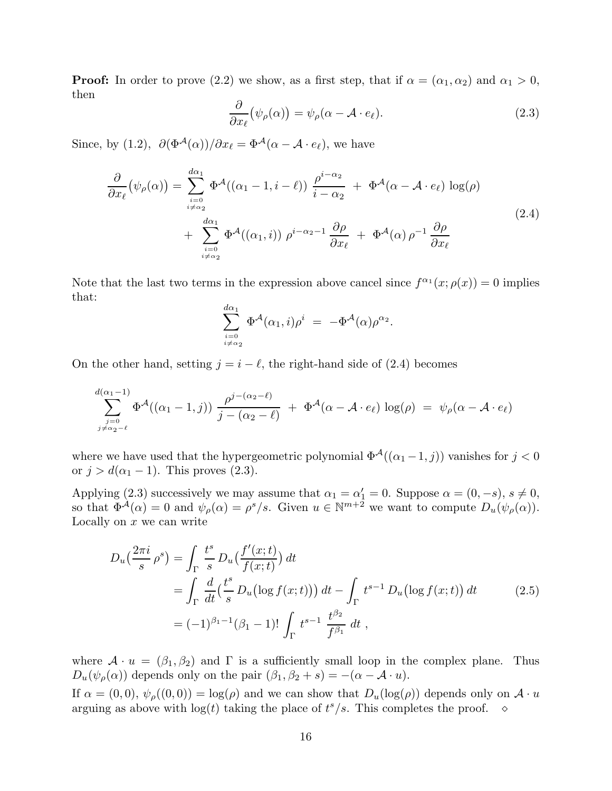**Proof:** In order to prove (2.2) we show, as a first step, that if  $\alpha = (\alpha_1, \alpha_2)$  and  $\alpha_1 > 0$ , then

$$
\frac{\partial}{\partial x_{\ell}}(\psi_{\rho}(\alpha)) = \psi_{\rho}(\alpha - \mathcal{A} \cdot e_{\ell}). \tag{2.3}
$$

Since, by (1.2),  $\partial(\Phi^{\mathcal{A}}(\alpha))/\partial x_{\ell} = \Phi^{\mathcal{A}}(\alpha - \mathcal{A} \cdot e_{\ell})$ , we have

$$
\frac{\partial}{\partial x_{\ell}}(\psi_{\rho}(\alpha)) = \sum_{\substack{i=0 \ i \neq \alpha_2}}^{d\alpha_1} \Phi^{\mathcal{A}}((\alpha_1 - 1, i - \ell)) \frac{\rho^{i - \alpha_2}}{i - \alpha_2} + \Phi^{\mathcal{A}}(\alpha - \mathcal{A} \cdot e_{\ell}) \log(\rho) \n+ \sum_{\substack{i=0 \ i \neq \alpha_2}}^{d\alpha_1} \Phi^{\mathcal{A}}((\alpha_1, i)) \rho^{i - \alpha_2 - 1} \frac{\partial \rho}{\partial x_{\ell}} + \Phi^{\mathcal{A}}(\alpha) \rho^{-1} \frac{\partial \rho}{\partial x_{\ell}}
$$
\n(2.4)

Note that the last two terms in the expression above cancel since  $f^{\alpha_1}(x; \rho(x)) = 0$  implies that:

$$
\sum_{\stackrel{i=0}{i\neq \alpha_2}}^{d\alpha_1} \Phi^{\mathcal{A}}(\alpha_1, i)\rho^i\ =\ -\Phi^{\mathcal{A}}(\alpha)\rho^{\alpha_2}.
$$

On the other hand, setting  $j = i - \ell$ , the right-hand side of (2.4) becomes

$$
\sum_{\substack{j=0 \ j \neq \alpha_2-\ell}}^{d(\alpha_1-1)} \Phi^{\mathcal{A}}((\alpha_1-1,j)) \frac{\rho^{j-(\alpha_2-\ell)}}{j-(\alpha_2-\ell)} + \Phi^{\mathcal{A}}(\alpha-\mathcal{A}\cdot e_{\ell}) \log(\rho) = \psi_{\rho}(\alpha-\mathcal{A}\cdot e_{\ell})
$$

where we have used that the hypergeometric polynomial  $\Phi^{\mathcal{A}}((\alpha_1-1,j))$  vanishes for  $j < 0$ or  $j > d(\alpha_1 - 1)$ . This proves (2.3).

Applying (2.3) successively we may assume that  $\alpha_1 = \alpha'_1 = 0$ . Suppose  $\alpha = (0, -s)$ ,  $s \neq 0$ , so that  $\Phi^{\mathcal{A}}(\alpha) = 0$  and  $\psi_{\rho}(\alpha) = \rho^{s}/s$ . Given  $u \in \mathbb{N}^{m+2}$  we want to compute  $D_{u}(\psi_{\rho}(\alpha))$ . Locally on  $x$  we can write

$$
D_u\left(\frac{2\pi i}{s} \rho^s\right) = \int_{\Gamma} \frac{t^s}{s} D_u\left(\frac{f'(x;t)}{f(x;t)}\right) dt
$$
  
= 
$$
\int_{\Gamma} \frac{d}{dt} \left(\frac{t^s}{s} D_u\left(\log f(x;t)\right)\right) dt - \int_{\Gamma} t^{s-1} D_u\left(\log f(x;t)\right) dt
$$
  
= 
$$
(-1)^{\beta_1 - 1} (\beta_1 - 1)! \int_{\Gamma} t^{s-1} \frac{t^{\beta_2}}{f^{\beta_1}} dt,
$$
 (2.5)

where  $\mathcal{A} \cdot u = (\beta_1, \beta_2)$  and  $\Gamma$  is a sufficiently small loop in the complex plane. Thus  $D_u(\psi_\rho(\alpha))$  depends only on the pair  $(\beta_1, \beta_2 + s) = -(\alpha - \mathcal{A} \cdot u)$ .

If  $\alpha = (0,0)$ ,  $\psi_{\rho}((0,0)) = \log(\rho)$  and we can show that  $D_u(\log(\rho))$  depends only on  $\mathcal{A} \cdot u$ arguing as above with  $log(t)$  taking the place of  $t^s/s$ . This completes the proof.  $\Diamond$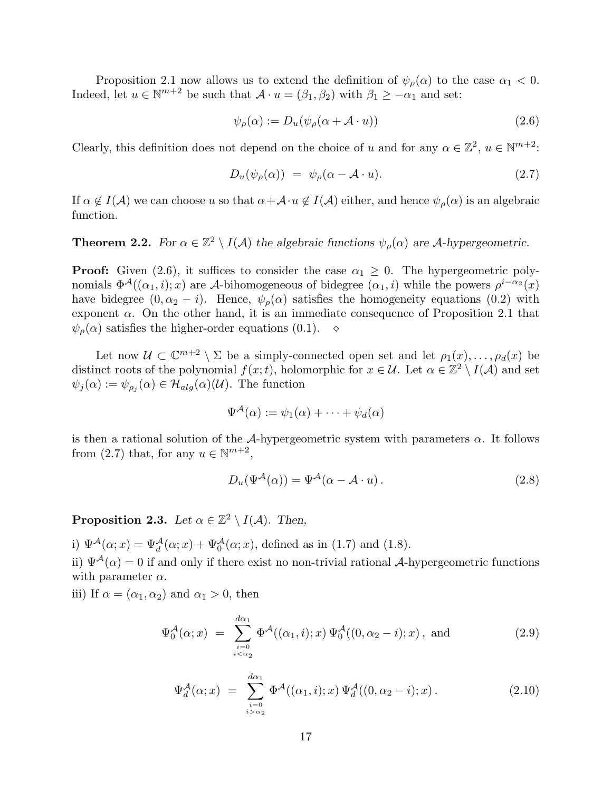Proposition 2.1 now allows us to extend the definition of  $\psi_{\rho}(\alpha)$  to the case  $\alpha_1 < 0$ . Indeed, let  $u \in \mathbb{N}^{m+2}$  be such that  $\mathcal{A} \cdot u = (\beta_1, \beta_2)$  with  $\beta_1 \ge -\alpha_1$  and set:

$$
\psi_{\rho}(\alpha) := D_u(\psi_{\rho}(\alpha + \mathcal{A} \cdot u)) \tag{2.6}
$$

Clearly, this definition does not depend on the choice of u and for any  $\alpha \in \mathbb{Z}^2$ ,  $u \in \mathbb{N}^{m+2}$ :

$$
D_u(\psi_\rho(\alpha)) = \psi_\rho(\alpha - \mathcal{A} \cdot u). \tag{2.7}
$$

If  $\alpha \notin I(\mathcal{A})$  we can choose u so that  $\alpha+\mathcal{A}\cdot u \notin I(\mathcal{A})$  either, and hence  $\psi_{\rho}(\alpha)$  is an algebraic function.

# **Theorem 2.2.** For  $\alpha \in \mathbb{Z}^2 \setminus I(\mathcal{A})$  the algebraic functions  $\psi_{\rho}(\alpha)$  are A-hypergeometric.

**Proof:** Given (2.6), it suffices to consider the case  $\alpha_1 \geq 0$ . The hypergeometric polynomials  $\Phi^{\mathcal{A}}((\alpha_1, i); x)$  are A-bihomogeneous of bidegree  $(\alpha_1, i)$  while the powers  $\rho^{i-\alpha_2}(x)$ have bidegree  $(0, \alpha_2 - i)$ . Hence,  $\psi_{\rho}(\alpha)$  satisfies the homogeneity equations (0.2) with exponent  $\alpha$ . On the other hand, it is an immediate consequence of Proposition 2.1 that  $\psi_{\rho}(\alpha)$  satisfies the higher-order equations (0.1).  $\diamond$ 

Let now  $\mathcal{U} \subset \mathbb{C}^{m+2} \setminus \Sigma$  be a simply-connected open set and let  $\rho_1(x), \ldots, \rho_d(x)$  be distinct roots of the polynomial  $f(x;t)$ , holomorphic for  $x \in \mathcal{U}$ . Let  $\alpha \in \mathbb{Z}^2 \setminus I(\mathcal{A})$  and set  $\psi_j(\alpha) := \psi_{\rho_j}(\alpha) \in \mathcal{H}_{alg}(\alpha)(\mathcal{U})$ . The function

$$
\Psi^{\mathcal{A}}(\alpha) := \psi_1(\alpha) + \cdots + \psi_d(\alpha)
$$

is then a rational solution of the A-hypergeometric system with parameters  $\alpha$ . It follows from (2.7) that, for any  $u \in \mathbb{N}^{m+2}$ ,

$$
D_u(\Psi^{\mathcal{A}}(\alpha)) = \Psi^{\mathcal{A}}(\alpha - \mathcal{A} \cdot u). \tag{2.8}
$$

**Proposition 2.3.** Let  $\alpha \in \mathbb{Z}^2 \setminus I(\mathcal{A})$ . Then,

i)  $\Psi^{\mathcal{A}}(\alpha; x) = \Psi^{\mathcal{A}}_{d}(\alpha; x) + \Psi^{\mathcal{A}}_{0}(\alpha; x)$ , defined as in (1.7) and (1.8).

ii)  $\Psi^{\mathcal{A}}(\alpha) = 0$  if and only if there exist no non-trivial rational A-hypergeometric functions with parameter  $\alpha$ .

iii) If  $\alpha = (\alpha_1, \alpha_2)$  and  $\alpha_1 > 0$ , then

$$
\Psi_0^{\mathcal{A}}(\alpha; x) = \sum_{\substack{i=0 \\ i < \alpha_2}}^{d\alpha_1} \Phi^{\mathcal{A}}((\alpha_1, i); x) \Psi_0^{\mathcal{A}}((0, \alpha_2 - i); x), \text{ and } (2.9)
$$

$$
\Psi_d^{\mathcal{A}}(\alpha; x) = \sum_{\substack{i=0 \\ i > \alpha_2}}^{d\alpha_1} \Phi^{\mathcal{A}}((\alpha_1, i); x) \Psi_d^{\mathcal{A}}((0, \alpha_2 - i); x).
$$
 (2.10)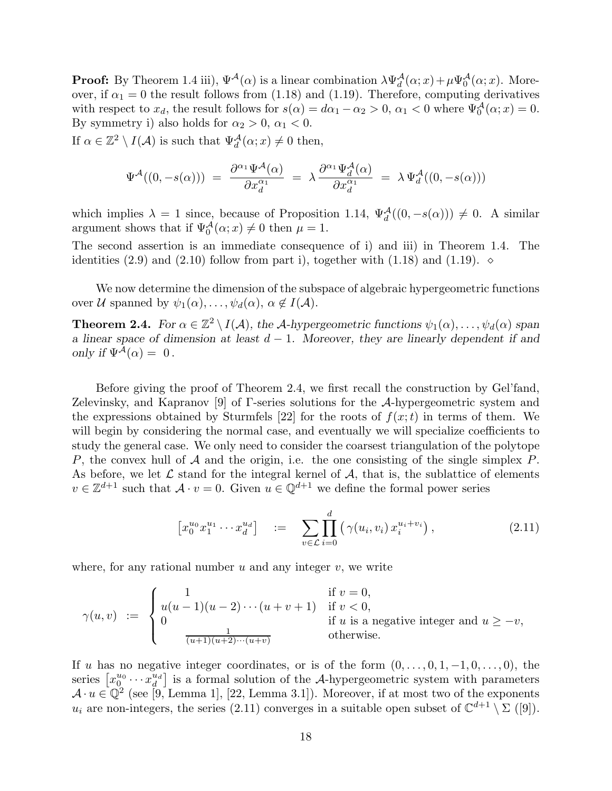**Proof:** By Theorem 1.4 iii),  $\Psi^{\mathcal{A}}(\alpha)$  is a linear combination  $\lambda \Psi^{\mathcal{A}}_{d}(\alpha; x) + \mu \Psi^{\mathcal{A}}_{0}(\alpha; x)$ . Moreover, if  $\alpha_1 = 0$  the result follows from (1.18) and (1.19). Therefore, computing derivatives with respect to  $x_d$ , the result follows for  $s(\alpha) = d\alpha_1 - \alpha_2 > 0$ ,  $\alpha_1 < 0$  where  $\Psi_0^{\mathcal{A}}(\alpha; x) = 0$ . By symmetry i) also holds for  $\alpha_2 > 0$ ,  $\alpha_1 < 0$ .

If  $\alpha \in \mathbb{Z}^2 \setminus I(\mathcal{A})$  is such that  $\Psi_d^{\mathcal{A}}(\alpha; x) \neq 0$  then,

$$
\Psi^{\mathcal{A}}((0,-s(\alpha))) = \frac{\partial^{\alpha_1} \Psi^{\mathcal{A}}(\alpha)}{\partial x_d^{\alpha_1}} = \lambda \frac{\partial^{\alpha_1} \Psi^{\mathcal{A}}_d(\alpha)}{\partial x_d^{\alpha_1}} = \lambda \Psi^{\mathcal{A}}_d((0,-s(\alpha)))
$$

which implies  $\lambda = 1$  since, because of Proposition 1.14,  $\Psi_d^{\mathcal{A}}((0, -s(\alpha))) \neq 0$ . A similar argument shows that if  $\Psi_0^{\mathcal{A}}(\alpha; x) \neq 0$  then  $\mu = 1$ .

The second assertion is an immediate consequence of i) and iii) in Theorem 1.4. The identities (2.9) and (2.10) follow from part i), together with (1.18) and (1.19).  $\diamond$ 

We now determine the dimension of the subspace of algebraic hypergeometric functions over U spanned by  $\psi_1(\alpha), \ldots, \psi_d(\alpha), \alpha \notin I(\mathcal{A})$ .

**Theorem 2.4.** For  $\alpha \in \mathbb{Z}^2 \setminus I(\mathcal{A})$ , the A-hypergeometric functions  $\psi_1(\alpha), \ldots, \psi_d(\alpha)$  span a linear space of dimension at least  $d - 1$ . Moreover, they are linearly dependent if and only if  $\Psi^{\mathcal{A}}(\alpha) = 0$ .

Before giving the proof of Theorem 2.4, we first recall the construction by Gel'fand, Zelevinsky, and Kapranov [9] of Γ-series solutions for the A-hypergeometric system and the expressions obtained by Sturmfels [22] for the roots of  $f(x;t)$  in terms of them. We will begin by considering the normal case, and eventually we will specialize coefficients to study the general case. We only need to consider the coarsest triangulation of the polytope P, the convex hull of  $A$  and the origin, i.e. the one consisting of the single simplex P. As before, we let  $\mathcal L$  stand for the integral kernel of  $\mathcal A$ , that is, the sublattice of elements  $v \in \mathbb{Z}^{d+1}$  such that  $\mathcal{A} \cdot v = 0$ . Given  $u \in \mathbb{Q}^{d+1}$  we define the formal power series

$$
\left[x_0^{u_0} x_1^{u_1} \cdots x_d^{u_d}\right] \quad := \quad \sum_{v \in \mathcal{L}} \prod_{i=0}^d \left(\gamma(u_i, v_i) \, x_i^{u_i + v_i}\right),\tag{2.11}
$$

where, for any rational number  $u$  and any integer  $v$ , we write

$$
\gamma(u,v) := \begin{cases}\n1 & \text{if } v = 0, \\
u(u-1)(u-2)\cdots(u+v+1) & \text{if } v < 0, \\
0 & \text{if } u \text{ is a negative integer and } u \ge -v, \\
\frac{1}{(u+1)(u+2)\cdots(u+v)} & \text{otherwise.} \n\end{cases}
$$

If u has no negative integer coordinates, or is of the form  $(0, \ldots, 0, 1, -1, 0, \ldots, 0)$ , the series  $\left[x_0^{u_0}\cdots x_d^{u_d}\right]$  $\left[\begin{array}{c} u_d \\ d \end{array}\right]$  is a formal solution of the A-hypergeometric system with parameters  $\mathcal{A} \cdot u \in \mathbb{Q}^2$  (see [9, Lemma 1], [22, Lemma 3.1]). Moreover, if at most two of the exponents  $u_i$  are non-integers, the series (2.11) converges in a suitable open subset of  $\mathbb{C}^{d+1} \setminus \Sigma$  ([9]).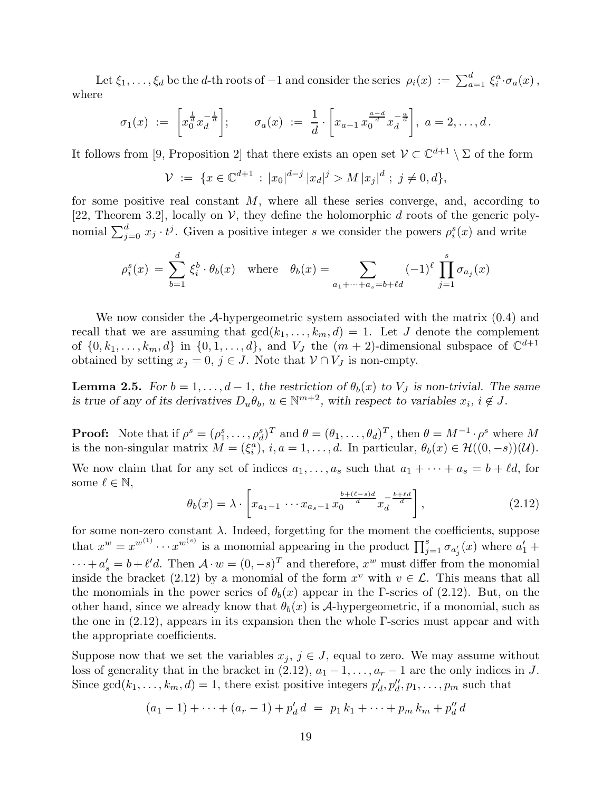Let  $\xi_1,\ldots,\xi_d$  be the d-th roots of  $-1$  and consider the series  $\rho_i(x) := \sum_{a=1}^d \xi_i^a \cdot \sigma_a(x)$ , where

$$
\sigma_1(x) := \left[ x_0^{\frac{1}{d}} x_d^{-\frac{1}{d}} \right]; \quad \sigma_a(x) := \frac{1}{d} \cdot \left[ x_{a-1} \, x_0^{\frac{a-d}{d}} x_d^{-\frac{a}{d}} \right], \, a = 2, \ldots, d \, .
$$

It follows from [9, Proposition 2] that there exists an open set  $\mathcal{V} \subset \mathbb{C}^{d+1} \setminus \Sigma$  of the form

$$
\mathcal{V} := \{ x \in \mathbb{C}^{d+1} : |x_0|^{d-j} |x_d|^j > M |x_j|^d ; j \neq 0, d \},
$$

for some positive real constant  $M$ , where all these series converge, and, according to [22, Theorem 3.2], locally on  $\mathcal V$ , they define the holomorphic d roots of the generic polynomial  $\sum_{j=0}^{d} x_j \cdot t^j$ . Given a positive integer s we consider the powers  $\rho_i^s(x)$  and write

$$
\rho_i^s(x) = \sum_{b=1}^d \xi_i^b \cdot \theta_b(x) \quad \text{where} \quad \theta_b(x) = \sum_{a_1 + \dots + a_s = b + \ell d} (-1)^\ell \prod_{j=1}^s \sigma_{a_j}(x)
$$

We now consider the  $A$ -hypergeometric system associated with the matrix  $(0.4)$  and recall that we are assuming that  $gcd(k_1, \ldots, k_m, d) = 1$ . Let J denote the complement of  $\{0, k_1, \ldots, k_m, d\}$  in  $\{0, 1, \ldots, d\}$ , and  $V_J$  the  $(m + 2)$ -dimensional subspace of  $\mathbb{C}^{d+1}$ obtained by setting  $x_j = 0, j \in J$ . Note that  $V \cap V_J$  is non-empty.

**Lemma 2.5.** For  $b = 1, ..., d - 1$ , the restriction of  $\theta_b(x)$  to  $V_J$  is non-trivial. The same is true of any of its derivatives  $D_u \theta_b$ ,  $u \in \mathbb{N}^{m+2}$ , with respect to variables  $x_i$ ,  $i \notin J$ .

**Proof:** Note that if  $\rho^s = (\rho_1^s, \ldots, \rho_d^s)^T$  and  $\theta = (\theta_1, \ldots, \theta_d)^T$ , then  $\theta = M^{-1} \cdot \rho^s$  where M is the non-singular matrix  $M = (\xi_i^a)$ ,  $i, a = 1, ..., d$ . In particular,  $\theta_b(x) \in \mathcal{H}((0, -s))(\mathcal{U})$ .

We now claim that for any set of indices  $a_1, \ldots, a_s$  such that  $a_1 + \cdots + a_s = b + \ell d$ , for some  $\ell \in \mathbb{N}$ ,

$$
\theta_b(x) = \lambda \cdot \left[ x_{a_1 - 1} \cdots x_{a_s - 1} x_0^{\frac{b + (\ell - s)d}{d}} x_d^{-\frac{b + \ell d}{d}} \right],
$$
\n(2.12)

for some non-zero constant  $\lambda$ . Indeed, forgetting for the moment the coefficients, suppose that  $x^w = x^{w^{(1)}} \cdots x^{w^{(s)}}$  is a monomial appearing in the product  $\prod_{j=1}^s \sigma_{a'_j}(x)$  where  $a'_1$  +  $\cdots + a'_s = b + \ell' d$ . Then  $\mathcal{A} \cdot w = (0, -s)^T$  and therefore,  $x^w$  must differ from the monomial inside the bracket (2.12) by a monomial of the form  $x^v$  with  $v \in \mathcal{L}$ . This means that all the monomials in the power series of  $\theta_b(x)$  appear in the Γ-series of (2.12). But, on the other hand, since we already know that  $\theta_b(x)$  is A-hypergeometric, if a monomial, such as the one in (2.12), appears in its expansion then the whole Γ-series must appear and with the appropriate coefficients.

Suppose now that we set the variables  $x_j, j \in J$ , equal to zero. We may assume without loss of generality that in the bracket in  $(2.12)$ ,  $a_1 - 1, \ldots, a_r - 1$  are the only indices in J. Since  $gcd(k_1, \ldots, k_m, d) = 1$ , there exist positive integers  $p'_d, p''_d, p_1, \ldots, p_m$  such that

$$
(a_1 - 1) + \cdots + (a_r - 1) + p'_d d = p_1 k_1 + \cdots + p_m k_m + p''_d d
$$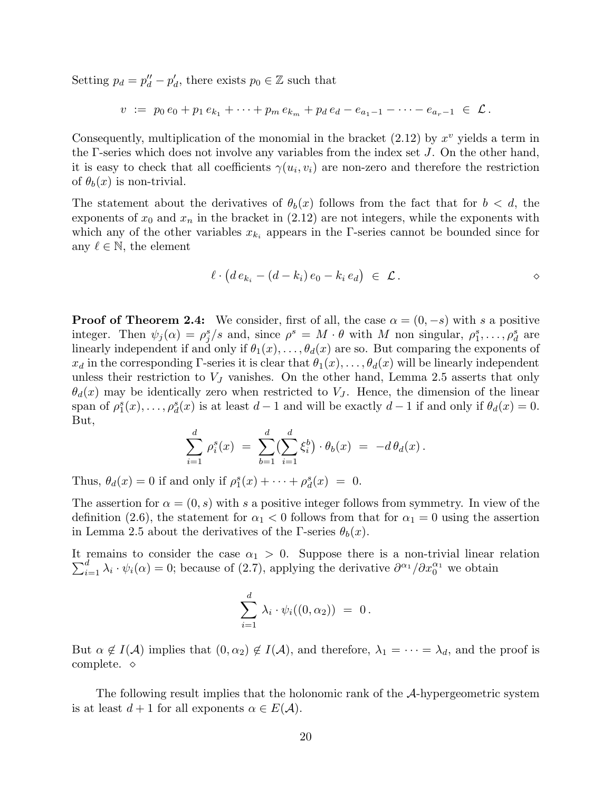Setting  $p_d = p''_d - p'_d$ , there exists  $p_0 \in \mathbb{Z}$  such that

$$
v := p_0 e_0 + p_1 e_{k_1} + \cdots + p_m e_{k_m} + p_d e_d - e_{a_1-1} - \cdots - e_{a_r-1} \in \mathcal{L}.
$$

Consequently, multiplication of the monomial in the bracket  $(2.12)$  by  $x^v$  yields a term in the  $\Gamma$ -series which does not involve any variables from the index set J. On the other hand, it is easy to check that all coefficients  $\gamma(u_i, v_i)$  are non-zero and therefore the restriction of  $\theta_b(x)$  is non-trivial.

The statement about the derivatives of  $\theta_b(x)$  follows from the fact that for  $b < d$ , the exponents of  $x_0$  and  $x_n$  in the bracket in (2.12) are not integers, while the exponents with which any of the other variables  $x_{k_i}$  appears in the Γ-series cannot be bounded since for any  $\ell \in \mathbb{N}$ , the element

$$
\ell \cdot \big( d\, e_{k_i} - (d-k_i)\, e_0 - k_i\, e_d \big) \ \in \ \mathcal{L} \, .
$$

**Proof of Theorem 2.4:** We consider, first of all, the case  $\alpha = (0, -s)$  with s a positive integer. Then  $\psi_j(\alpha) = \rho_j^s/s$  and, since  $\rho^s = M \cdot \theta$  with M non singular,  $\rho_1^s, \ldots, \rho_d^s$  are linearly independent if and only if  $\theta_1(x), \ldots, \theta_d(x)$  are so. But comparing the exponents of  $x_d$  in the corresponding Γ-series it is clear that  $\theta_1(x), \ldots, \theta_d(x)$  will be linearly independent unless their restriction to  $V_J$  vanishes. On the other hand, Lemma 2.5 asserts that only  $\theta_d(x)$  may be identically zero when restricted to  $V_J$ . Hence, the dimension of the linear span of  $\rho_1^s(x), \ldots, \rho_d^s(x)$  is at least  $d-1$  and will be exactly  $d-1$  if and only if  $\theta_d(x) = 0$ . But,

$$
\sum_{i=1}^d \rho_i^s(x) = \sum_{b=1}^d \left(\sum_{i=1}^d \xi_i^b\right) \cdot \theta_b(x) = -d \theta_d(x).
$$

Thus,  $\theta_d(x) = 0$  if and only if  $\rho_1^s(x) + \cdots + \rho_d^s(x) = 0$ .

The assertion for  $\alpha = (0, s)$  with s a positive integer follows from symmetry. In view of the definition (2.6), the statement for  $\alpha_1 < 0$  follows from that for  $\alpha_1 = 0$  using the assertion in Lemma 2.5 about the derivatives of the Γ-series  $\theta_b(x)$ .

 $\sum_{i=1}^d \lambda_i \cdot \psi_i(\alpha) = 0$ ; because of (2.7), applying the derivative  $\partial^{\alpha_1}/\partial x_0^{\alpha_1}$  we obtain It remains to consider the case  $\alpha_1 > 0$ . Suppose there is a non-trivial linear relation

$$
\sum_{i=1}^d \lambda_i \cdot \psi_i((0,\alpha_2)) = 0.
$$

But  $\alpha \notin I(\mathcal{A})$  implies that  $(0, \alpha_2) \notin I(\mathcal{A})$ , and therefore,  $\lambda_1 = \cdots = \lambda_d$ , and the proof is complete. ⋄

The following result implies that the holonomic rank of the A-hypergeometric system is at least  $d+1$  for all exponents  $\alpha \in E(\mathcal{A})$ .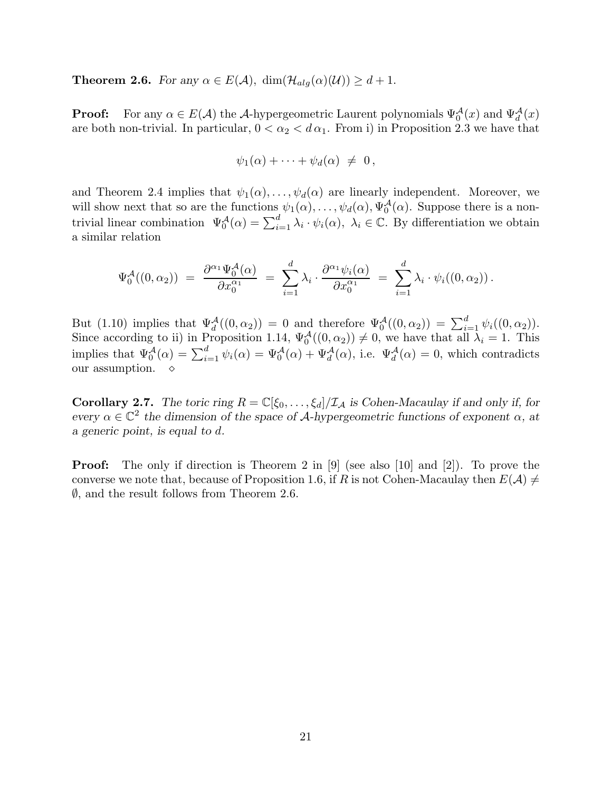**Theorem 2.6.** For any  $\alpha \in E(\mathcal{A})$ ,  $\dim(\mathcal{H}_{alg}(\alpha)(\mathcal{U})) \geq d+1$ .

**Proof:** For any  $\alpha \in E(\mathcal{A})$  the A-hypergeometric Laurent polynomials  $\Psi_0^{\mathcal{A}}(x)$  and  $\Psi_d^{\mathcal{A}}(x)$ are both non-trivial. In particular,  $0 < \alpha_2 < d \alpha_1$ . From i) in Proposition 2.3 we have that

$$
\psi_1(\alpha) + \cdots + \psi_d(\alpha) \neq 0,
$$

and Theorem 2.4 implies that  $\psi_1(\alpha), \ldots, \psi_d(\alpha)$  are linearly independent. Moreover, we will show next that so are the functions  $\psi_1(\alpha), \ldots, \psi_d(\alpha), \Psi_0^{\mathcal{A}}(\alpha)$ . Suppose there is a nontrivial linear combination  $\Psi_0^{\mathcal{A}}(\alpha) = \sum_{i=1}^d \lambda_i \cdot \psi_i(\alpha)$ ,  $\lambda_i \in \mathbb{C}$ . By differentiation we obtain a similar relation

$$
\Psi_0^{\mathcal{A}}((0,\alpha_2)) = \frac{\partial^{\alpha_1} \Psi_0^{\mathcal{A}}(\alpha)}{\partial x_0^{\alpha_1}} = \sum_{i=1}^d \lambda_i \cdot \frac{\partial^{\alpha_1} \psi_i(\alpha)}{\partial x_0^{\alpha_1}} = \sum_{i=1}^d \lambda_i \cdot \psi_i((0,\alpha_2)).
$$

But (1.10) implies that  $\Psi_d^{\mathcal{A}}((0, \alpha_2)) = 0$  and therefore  $\Psi_0^{\mathcal{A}}((0, \alpha_2)) = \sum_{i=1}^d \psi_i((0, \alpha_2)).$ Since according to ii) in Proposition 1.14,  $\Psi_0^{\mathcal{A}}((0,\alpha_2)) \neq 0$ , we have that all  $\lambda_i = 1$ . This implies that  $\Psi_0^{\mathcal{A}}(\alpha) = \sum_{i=1}^d \psi_i(\alpha) = \Psi_0^{\mathcal{A}}(\alpha) + \Psi_d^{\mathcal{A}}(\alpha)$ , i.e.  $\Psi_d^{\mathcal{A}}(\alpha) = 0$ , which contradicts our assumption.  $\diamond$ 

**Corollary 2.7.** The toric ring  $R = \mathbb{C}[\xi_0, \dots, \xi_d]/\mathcal{I}_\mathcal{A}$  is Cohen-Macaulay if and only if, for every  $\alpha \in \mathbb{C}^2$  the dimension of the space of A-hypergeometric functions of exponent  $\alpha$ , at a generic point, is equal to d.

**Proof:** The only if direction is Theorem 2 in  $[9]$  (see also  $[10]$  and  $[2]$ ). To prove the converse we note that, because of Proposition 1.6, if R is not Cohen-Macaulay then  $E(\mathcal{A}) \neq$  $\emptyset$ , and the result follows from Theorem 2.6.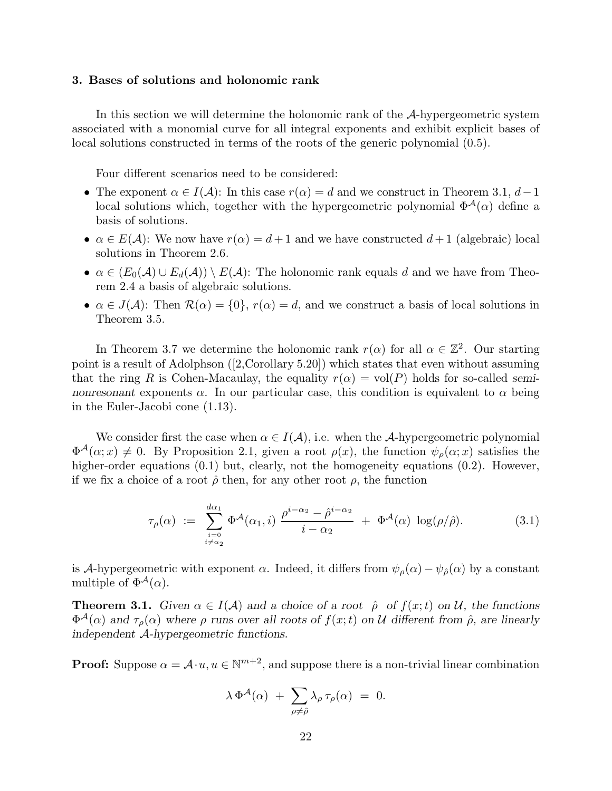### 3. Bases of solutions and holonomic rank

In this section we will determine the holonomic rank of the A-hypergeometric system associated with a monomial curve for all integral exponents and exhibit explicit bases of local solutions constructed in terms of the roots of the generic polynomial (0.5).

Four different scenarios need to be considered:

- The exponent  $\alpha \in I(\mathcal{A})$ : In this case  $r(\alpha) = d$  and we construct in Theorem 3.1,  $d-1$ local solutions which, together with the hypergeometric polynomial  $\Phi^{\mathcal{A}}(\alpha)$  define a basis of solutions.
- $\alpha \in E(\mathcal{A})$ : We now have  $r(\alpha) = d+1$  and we have constructed  $d+1$  (algebraic) local solutions in Theorem 2.6.
- $\alpha \in (E_0(\mathcal{A}) \cup E_d(\mathcal{A})) \setminus E(\mathcal{A})$ : The holonomic rank equals d and we have from Theorem 2.4 a basis of algebraic solutions.
- $\alpha \in J(\mathcal{A})$ : Then  $\mathcal{R}(\alpha) = \{0\}, r(\alpha) = d$ , and we construct a basis of local solutions in Theorem 3.5.

In Theorem 3.7 we determine the holonomic rank  $r(\alpha)$  for all  $\alpha \in \mathbb{Z}^2$ . Our starting point is a result of Adolphson ([2,Corollary 5.20]) which states that even without assuming that the ring R is Cohen-Macaulay, the equality  $r(\alpha) = \text{vol}(P)$  holds for so-called seminonresonant exponents  $\alpha$ . In our particular case, this condition is equivalent to  $\alpha$  being in the Euler-Jacobi cone (1.13).

We consider first the case when  $\alpha \in I(\mathcal{A})$ , i.e. when the A-hypergeometric polynomial  $\Phi^{\mathcal{A}}(\alpha; x) \neq 0$ . By Proposition 2.1, given a root  $\rho(x)$ , the function  $\psi_{\rho}(\alpha; x)$  satisfies the higher-order equations  $(0.1)$  but, clearly, not the homogeneity equations  $(0.2)$ . However, if we fix a choice of a root  $\hat{\rho}$  then, for any other root  $\rho$ , the function

$$
\tau_{\rho}(\alpha) := \sum_{\substack{i=0 \ i \neq \alpha_2}}^{d\alpha_1} \Phi^{\mathcal{A}}(\alpha_1, i) \frac{\rho^{i-\alpha_2} - \hat{\rho}^{i-\alpha_2}}{i - \alpha_2} + \Phi^{\mathcal{A}}(\alpha) \log(\rho/\hat{\rho}). \tag{3.1}
$$

is A-hypergeometric with exponent  $\alpha$ . Indeed, it differs from  $\psi_{\rho}(\alpha) - \psi_{\hat{\rho}}(\alpha)$  by a constant multiple of  $\Phi^{\mathcal{A}}(\alpha)$ .

**Theorem 3.1.** Given  $\alpha \in I(\mathcal{A})$  and a choice of a root  $\hat{\rho}$  of  $f(x;t)$  on U, the functions  $\Phi^{\mathcal{A}}(\alpha)$  and  $\tau_{\rho}(\alpha)$  where  $\rho$  runs over all roots of  $f(x;t)$  on U different from  $\hat{\rho}$ , are linearly independent A-hypergeometric functions.

**Proof:** Suppose  $\alpha = \mathcal{A} \cdot u, u \in \mathbb{N}^{m+2}$ , and suppose there is a non-trivial linear combination

$$
\lambda \, \Phi^{\mathcal{A}}(\alpha) \; + \; \sum_{\rho \neq \hat{\rho}} \lambda_{\rho} \, \tau_{\rho}(\alpha) \; = \; 0.
$$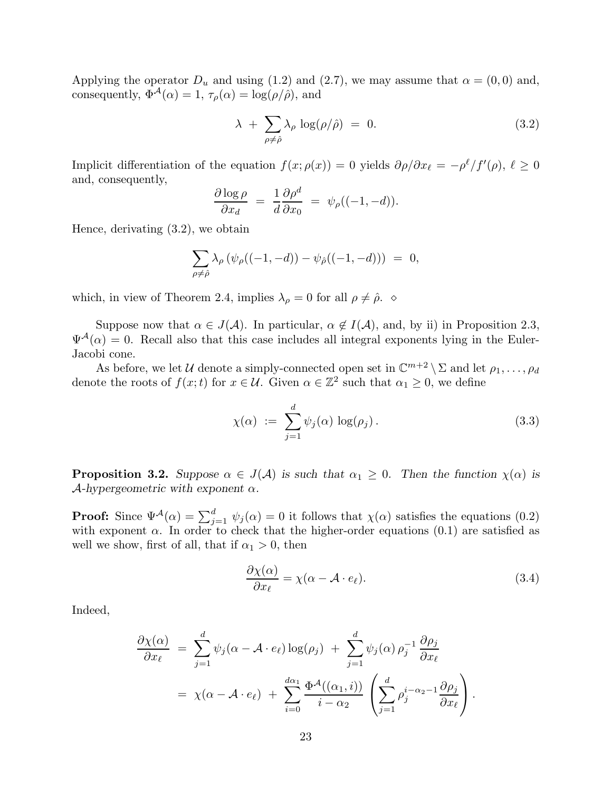Applying the operator  $D_u$  and using (1.2) and (2.7), we may assume that  $\alpha = (0,0)$  and, consequently,  $\Phi^{A}(\alpha) = 1$ ,  $\tau_{\rho}(\alpha) = \log(\rho/\hat{\rho})$ , and

$$
\lambda + \sum_{\rho \neq \hat{\rho}} \lambda_{\rho} \log(\rho/\hat{\rho}) = 0. \tag{3.2}
$$

Implicit differentiation of the equation  $f(x; \rho(x)) = 0$  yields  $\partial \rho/\partial x_{\ell} = -\rho^{\ell}/f'(\rho), \ell \ge 0$ and, consequently,

$$
\frac{\partial \log \rho}{\partial x_d} = \frac{1}{d} \frac{\partial \rho^d}{\partial x_0} = \psi_{\rho}((-1, -d)).
$$

Hence, derivating (3.2), we obtain

$$
\sum_{\rho\neq\hat{\rho}}\lambda_\rho\left(\psi_\rho((-1,-d))-\psi_{\hat{\rho}}((-1,-d))\right)~=~0,
$$

which, in view of Theorem 2.4, implies  $\lambda_{\rho} = 0$  for all  $\rho \neq \hat{\rho}$ .  $\diamond$ 

Suppose now that  $\alpha \in J(\mathcal{A})$ . In particular,  $\alpha \notin I(\mathcal{A})$ , and, by ii) in Proposition 2.3,  $\Psi^{\mathcal{A}}(\alpha) = 0$ . Recall also that this case includes all integral exponents lying in the Euler-Jacobi cone.

As before, we let U denote a simply-connected open set in  $\mathbb{C}^{m+2} \setminus \Sigma$  and let  $\rho_1, \ldots, \rho_d$ denote the roots of  $f(x;t)$  for  $x \in \mathcal{U}$ . Given  $\alpha \in \mathbb{Z}^2$  such that  $\alpha_1 \geq 0$ , we define

$$
\chi(\alpha) := \sum_{j=1}^{d} \psi_j(\alpha) \log(\rho_j).
$$
\n(3.3)

**Proposition 3.2.** Suppose  $\alpha \in J(\mathcal{A})$  is such that  $\alpha_1 \geq 0$ . Then the function  $\chi(\alpha)$  is  $\mathcal{A}$ -hypergeometric with exponent  $\alpha$ .

**Proof:** Since  $\Psi^{\mathcal{A}}(\alpha) = \sum_{j=1}^{d} \psi_j(\alpha) = 0$  it follows that  $\chi(\alpha)$  satisfies the equations (0.2) with exponent  $\alpha$ . In order to check that the higher-order equations (0.1) are satisfied as well we show, first of all, that if  $\alpha_1 > 0$ , then

$$
\frac{\partial \chi(\alpha)}{\partial x_{\ell}} = \chi(\alpha - \mathcal{A} \cdot e_{\ell}).\tag{3.4}
$$

Indeed,

$$
\frac{\partial \chi(\alpha)}{\partial x_{\ell}} = \sum_{j=1}^{d} \psi_j(\alpha - \mathcal{A} \cdot e_{\ell}) \log(\rho_j) + \sum_{j=1}^{d} \psi_j(\alpha) \rho_j^{-1} \frac{\partial \rho_j}{\partial x_{\ell}}
$$
  
=  $\chi(\alpha - \mathcal{A} \cdot e_{\ell}) + \sum_{i=0}^{d \alpha_1} \frac{\Phi^{\mathcal{A}}((\alpha_1, i))}{i - \alpha_2} \left( \sum_{j=1}^{d} \rho_j^{i - \alpha_2 - 1} \frac{\partial \rho_j}{\partial x_{\ell}} \right).$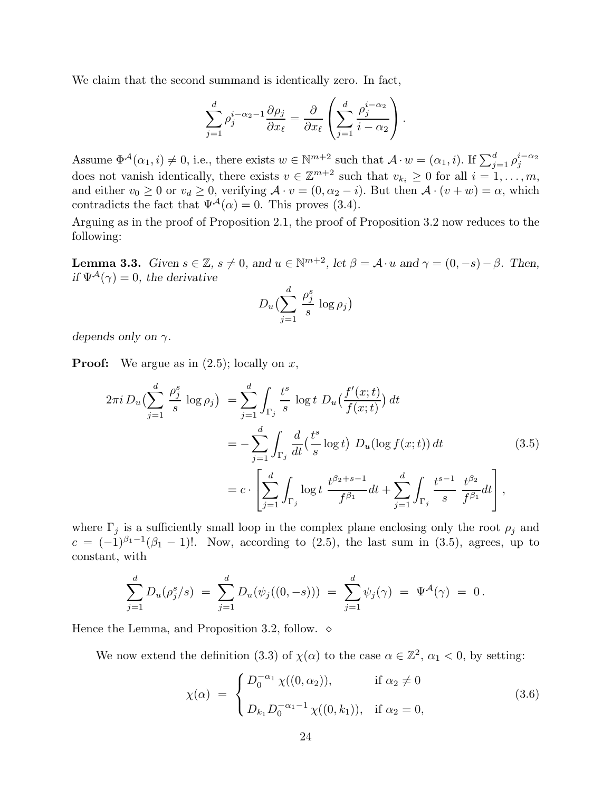We claim that the second summand is identically zero. In fact,

$$
\sum_{j=1}^d \rho_j^{i-\alpha_2-1} \frac{\partial \rho_j}{\partial x_\ell} = \frac{\partial}{\partial x_\ell} \left( \sum_{j=1}^d \frac{\rho_j^{i-\alpha_2}}{i-\alpha_2} \right).
$$

Assume  $\Phi^{\mathcal{A}}(\alpha_1, i) \neq 0$ , i.e., there exists  $w \in \mathbb{N}^{m+2}$  such that  $\mathcal{A} \cdot w = (\alpha_1, i)$ . If  $\sum_{j=1}^{d} \rho_j^{i-\alpha_2}$ does not vanish identically, there exists  $v \in \mathbb{Z}^{m+2}$  such that  $v_{k_i} \geq 0$  for all  $i = 1, \ldots, m$ , and either  $v_0 \ge 0$  or  $v_d \ge 0$ , verifying  $\mathcal{A} \cdot v = (0, \alpha_2 - i)$ . But then  $\mathcal{A} \cdot (v + w) = \alpha$ , which contradicts the fact that  $\Psi^{\mathcal{A}}(\alpha) = 0$ . This proves (3.4).

Arguing as in the proof of Proposition 2.1, the proof of Proposition 3.2 now reduces to the following:

**Lemma 3.3.** Given  $s \in \mathbb{Z}$ ,  $s \neq 0$ , and  $u \in \mathbb{N}^{m+2}$ , let  $\beta = \mathcal{A} \cdot u$  and  $\gamma = (0, -s) - \beta$ . Then, if  $\Psi^{\mathcal{A}}(\gamma) = 0$ , the derivative

$$
D_u\bigl(\sum_{j=1}^d\,\frac{\rho_j^s}{s}\,\log\rho_j\bigr)
$$

depends only on  $\gamma$ .

**Proof:** We argue as in  $(2.5)$ ; locally on x,

$$
2\pi i \, D_u \left( \sum_{j=1}^d \frac{\rho_j^s}{s} \log \rho_j \right) \ = \sum_{j=1}^d \int_{\Gamma_j} \frac{t^s}{s} \log t \, D_u \left( \frac{f'(x;t)}{f(x;t)} \right) dt
$$
\n
$$
= -\sum_{j=1}^d \int_{\Gamma_j} \frac{d}{dt} \left( \frac{t^s}{s} \log t \right) \, D_u(\log f(x;t)) \, dt
$$
\n
$$
= c \cdot \left[ \sum_{j=1}^d \int_{\Gamma_j} \log t \, \frac{t^{\beta_2+s-1}}{f^{\beta_1}} dt + \sum_{j=1}^d \int_{\Gamma_j} \frac{t^{s-1}}{s} \, \frac{t^{\beta_2}}{f^{\beta_1}} dt \right],
$$
\n(3.5)

where  $\Gamma_i$  is a sufficiently small loop in the complex plane enclosing only the root  $\rho_i$  and  $c = (-1)^{\beta_1 - 1}(\beta_1 - 1)!$ . Now, according to (2.5), the last sum in (3.5), agrees, up to constant, with

$$
\sum_{j=1}^d D_u(\rho_j^s/s) = \sum_{j=1}^d D_u(\psi_j((0,-s))) = \sum_{j=1}^d \psi_j(\gamma) = \Psi^{\mathcal{A}}(\gamma) = 0.
$$

Hence the Lemma, and Proposition 3.2, follow.  $\diamond$ 

We now extend the definition (3.3) of  $\chi(\alpha)$  to the case  $\alpha \in \mathbb{Z}^2$ ,  $\alpha_1 < 0$ , by setting:

$$
\chi(\alpha) = \begin{cases} D_0^{-\alpha_1} \chi((0, \alpha_2)), & \text{if } \alpha_2 \neq 0 \\ D_{k_1} D_0^{-\alpha_1 - 1} \chi((0, k_1)), & \text{if } \alpha_2 = 0, \end{cases}
$$
\n(3.6)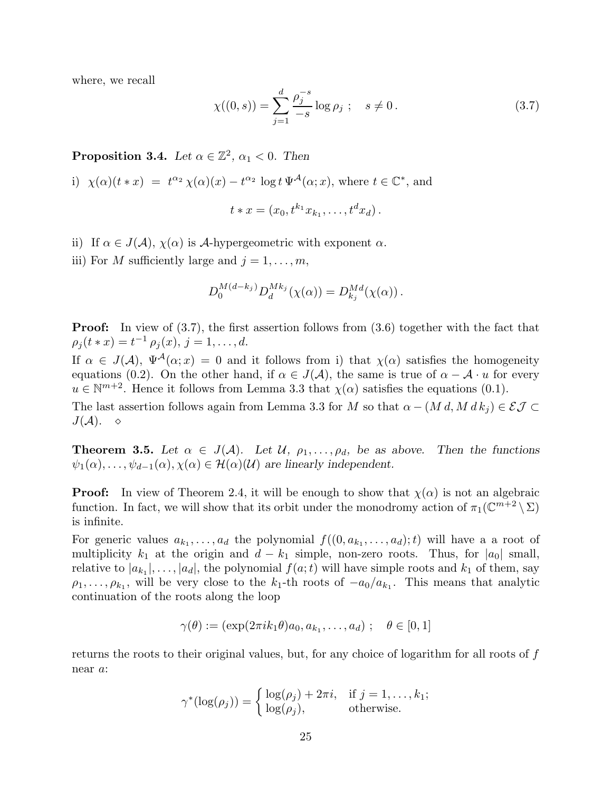where, we recall

$$
\chi((0,s)) = \sum_{j=1}^{d} \frac{\rho_j^{-s}}{-s} \log \rho_j \; ; \quad s \neq 0 \,. \tag{3.7}
$$

**Proposition 3.4.** Let  $\alpha \in \mathbb{Z}^2$ ,  $\alpha_1 < 0$ . Then

i) 
$$
\chi(\alpha)(t * x) = t^{\alpha_2} \chi(\alpha)(x) - t^{\alpha_2} \log t \Psi^{\mathcal{A}}(\alpha; x)
$$
, where  $t \in \mathbb{C}^*$ , and  

$$
t * x = (x_0, t^{k_1} x_{k_1}, \dots, t^d x_d).
$$

$$
f_{\rm{max}}(x)
$$

- ii) If  $\alpha \in J(\mathcal{A}), \chi(\alpha)$  is A-hypergeometric with exponent  $\alpha$ .
- iii) For M sufficiently large and  $j = 1, \ldots, m$ ,

$$
D_0^{M(d-k_j)} D_d^{Mk_j}(\chi(\alpha)) = D_{k_j}^{Md}(\chi(\alpha)).
$$

**Proof:** In view of (3.7), the first assertion follows from (3.6) together with the fact that  $\rho_j(t * x) = t^{-1} \rho_j(x), j = 1, \ldots, d.$ 

If  $\alpha \in J(\mathcal{A}), \Psi^{\mathcal{A}}(\alpha; x) = 0$  and it follows from i) that  $\chi(\alpha)$  satisfies the homogeneity equations (0.2). On the other hand, if  $\alpha \in J(\mathcal{A})$ , the same is true of  $\alpha - \mathcal{A} \cdot u$  for every  $u \in \mathbb{N}^{m+2}$ . Hence it follows from Lemma 3.3 that  $\chi(\alpha)$  satisfies the equations (0.1).

The last assertion follows again from Lemma 3.3 for M so that  $\alpha - (M d, M d k_i) \in \mathcal{EJ} \subset$  $J(A)$ .  $\diamond$ 

**Theorem 3.5.** Let  $\alpha \in J(\mathcal{A})$ . Let  $\mathcal{U}, \rho_1, \ldots, \rho_d$ , be as above. Then the functions  $\psi_1(\alpha), \ldots, \psi_{d-1}(\alpha), \chi(\alpha) \in \mathcal{H}(\alpha)(\mathcal{U})$  are linearly independent.

**Proof:** In view of Theorem 2.4, it will be enough to show that  $\chi(\alpha)$  is not an algebraic function. In fact, we will show that its orbit under the monodromy action of  $\pi_1(\mathbb{C}^{m+2} \setminus \Sigma)$ is infinite.

For generic values  $a_{k_1}, \ldots, a_d$  the polynomial  $f((0, a_{k_1}, \ldots, a_d); t)$  will have a a root of multiplicity  $k_1$  at the origin and  $d - k_1$  simple, non-zero roots. Thus, for  $|a_0|$  small, relative to  $|a_{k_1}|, \ldots, |a_d|$ , the polynomial  $f(a; t)$  will have simple roots and  $k_1$  of them, say  $\rho_1, \ldots, \rho_{k_1}$ , will be very close to the  $k_1$ -th roots of  $-a_0/a_{k_1}$ . This means that analytic continuation of the roots along the loop

$$
\gamma(\theta) := (\exp(2\pi i k_1 \theta) a_0, a_{k_1}, \dots, a_d) ; \quad \theta \in [0,1]
$$

returns the roots to their original values, but, for any choice of logarithm for all roots of f near a:

$$
\gamma^*(\log(\rho_j)) = \begin{cases} \log(\rho_j) + 2\pi i, & \text{if } j = 1, ..., k_1; \\ \log(\rho_j), & \text{otherwise.} \end{cases}
$$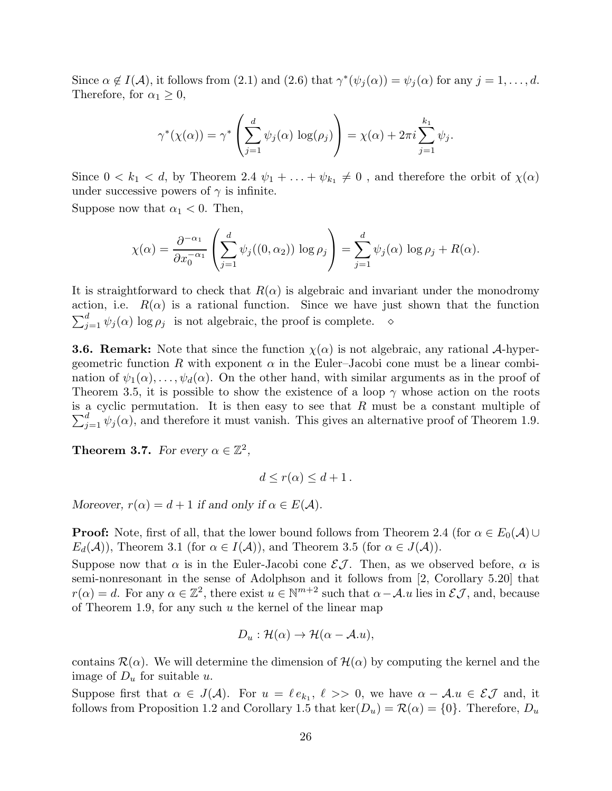Since  $\alpha \notin I(\mathcal{A})$ , it follows from (2.1) and (2.6) that  $\gamma^*(\psi_j(\alpha)) = \psi_j(\alpha)$  for any  $j = 1, ..., d$ . Therefore, for  $\alpha_1 \geq 0$ ,

$$
\gamma^*(\chi(\alpha)) = \gamma^* \left( \sum_{j=1}^d \psi_j(\alpha) \log(\rho_j) \right) = \chi(\alpha) + 2\pi i \sum_{j=1}^{k_1} \psi_j.
$$

Since  $0 < k_1 < d$ , by Theorem 2.4  $\psi_1 + \ldots + \psi_{k_1} \neq 0$ , and therefore the orbit of  $\chi(\alpha)$ under successive powers of  $\gamma$  is infinite.

Suppose now that  $\alpha_1 < 0$ . Then,

$$
\chi(\alpha) = \frac{\partial^{-\alpha_1}}{\partial x_0^{-\alpha_1}} \left( \sum_{j=1}^d \psi_j((0, \alpha_2)) \log \rho_j \right) = \sum_{j=1}^d \psi_j(\alpha) \log \rho_j + R(\alpha).
$$

It is straightforward to check that  $R(\alpha)$  is algebraic and invariant under the monodromy action, i.e.  $R(\alpha)$  is a rational function. Since we have just shown that the function  $\sum_{j=1}^{d} \psi_j(\alpha) \log \rho_j$  is not algebraic, the proof is complete.  $\diamond$ 

**3.6. Remark:** Note that since the function  $\chi(\alpha)$  is not algebraic, any rational A-hypergeometric function R with exponent  $\alpha$  in the Euler–Jacobi cone must be a linear combination of  $\psi_1(\alpha), \ldots, \psi_d(\alpha)$ . On the other hand, with similar arguments as in the proof of Theorem 3.5, it is possible to show the existence of a loop  $\gamma$  whose action on the roots  $\sum_{j=1}^{d} \psi_j(\alpha)$ , and therefore it must vanish. This gives an alternative proof of Theorem 1.9. is a cyclic permutation. It is then easy to see that  $R$  must be a constant multiple of

**Theorem 3.7.** For every  $\alpha \in \mathbb{Z}^2$ ,

$$
d \le r(\alpha) \le d+1 \, .
$$

Moreover,  $r(\alpha) = d + 1$  if and only if  $\alpha \in E(\mathcal{A})$ .

**Proof:** Note, first of all, that the lower bound follows from Theorem 2.4 (for  $\alpha \in E_0(\mathcal{A})\cup$  $E_d(\mathcal{A})$ , Theorem 3.1 (for  $\alpha \in I(\mathcal{A})$ ), and Theorem 3.5 (for  $\alpha \in J(\mathcal{A})$ ).

Suppose now that  $\alpha$  is in the Euler-Jacobi cone  $\mathcal{E}J$ . Then, as we observed before,  $\alpha$  is semi-nonresonant in the sense of Adolphson and it follows from [2, Corollary 5.20] that  $r(\alpha) = d$ . For any  $\alpha \in \mathbb{Z}^2$ , there exist  $u \in \mathbb{N}^{m+2}$  such that  $\alpha - A u$  lies in  $\mathcal{E} \mathcal{J}$ , and, because of Theorem 1.9, for any such  $u$  the kernel of the linear map

$$
D_u: \mathcal{H}(\alpha) \to \mathcal{H}(\alpha - \mathcal{A}.u),
$$

contains  $\mathcal{R}(\alpha)$ . We will determine the dimension of  $\mathcal{H}(\alpha)$  by computing the kernel and the image of  $D_u$  for suitable u.

Suppose first that  $\alpha \in J(\mathcal{A})$ . For  $u = \ell e_{k_1}, \ell >> 0$ , we have  $\alpha - \mathcal{A}.u \in \mathcal{EI}$  and, it follows from Proposition 1.2 and Corollary 1.5 that  $\ker(D_u) = \mathcal{R}(\alpha) = \{0\}$ . Therefore,  $D_u$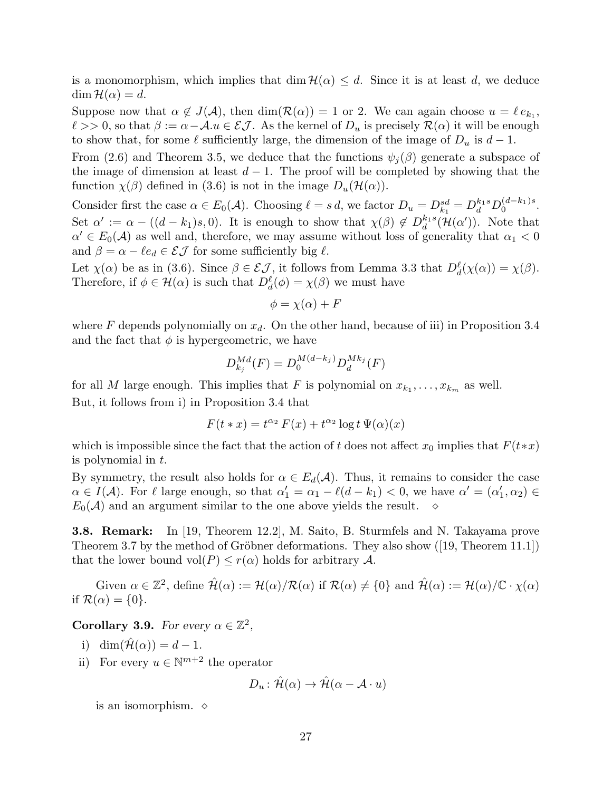is a monomorphism, which implies that  $\dim \mathcal{H}(\alpha) \leq d$ . Since it is at least d, we deduce  $\dim \mathcal{H}(\alpha) = d.$ 

Suppose now that  $\alpha \notin J(\mathcal{A})$ , then  $\dim(\mathcal{R}(\alpha)) = 1$  or 2. We can again choose  $u = \ell e_{k_1}$ ,  $\ell >> 0$ , so that  $\beta := \alpha - A.u \in \mathcal{EJ}$ . As the kernel of  $D_u$  is precisely  $\mathcal{R}(\alpha)$  it will be enough to show that, for some  $\ell$  sufficiently large, the dimension of the image of  $D_u$  is  $d-1$ .

From (2.6) and Theorem 3.5, we deduce that the functions  $\psi_i(\beta)$  generate a subspace of the image of dimension at least  $d-1$ . The proof will be completed by showing that the function  $\chi(\beta)$  defined in (3.6) is not in the image  $D_u(\mathcal{H}(\alpha))$ .

Consider first the case  $\alpha \in E_0(\mathcal{A})$ . Choosing  $\ell = s d$ , we factor  $D_u = D_{k_1}^{sd} = D_d^{k_1s} D_0^{(d-k_1)s}$  $\int_0^{(u-\kappa_1)s}$ . Set  $\alpha' := \alpha - ((d-k_1)s, 0)$ . It is enough to show that  $\chi(\beta) \notin D_d^{k_1 s}$  $\int_{d}^{k_1s}(\mathcal{H}(\alpha'))$ . Note that  $\alpha' \in E_0(\mathcal{A})$  as well and, therefore, we may assume without loss of generality that  $\alpha_1 < 0$ and  $\beta = \alpha - \ell e_d \in \mathcal{E} \mathcal{J}$  for some sufficiently big  $\ell$ .

Let  $\chi(\alpha)$  be as in (3.6). Since  $\beta \in \mathcal{EJ}$ , it follows from Lemma 3.3 that  $D_d^{\ell}(\chi(\alpha)) = \chi(\beta)$ . Therefore, if  $\phi \in \mathcal{H}(\alpha)$  is such that  $D_d^{\ell}(\phi) = \chi(\beta)$  we must have

$$
\phi = \chi(\alpha) + F
$$

where F depends polynomially on  $x_d$ . On the other hand, because of iii) in Proposition 3.4 and the fact that  $\phi$  is hypergeometric, we have

$$
D_{k_j}^{Md}(F) = D_0^{M(d-k_j)} D_d^{Mk_j}(F)
$$

for all M large enough. This implies that F is polynomial on  $x_{k_1}, \ldots, x_{k_m}$  as well. But, it follows from i) in Proposition 3.4 that

$$
F(t * x) = t^{\alpha_2} F(x) + t^{\alpha_2} \log t \Psi(\alpha)(x)
$$

which is impossible since the fact that the action of t does not affect  $x_0$  implies that  $F(t*x)$ is polynomial in t.

By symmetry, the result also holds for  $\alpha \in E_d(\mathcal{A})$ . Thus, it remains to consider the case  $\alpha \in I(\mathcal{A})$ . For  $\ell$  large enough, so that  $\alpha'_1 = \alpha_1 - \ell(d - k_1) < 0$ , we have  $\alpha' = (\alpha'_1, \alpha_2) \in I(\mathcal{A})$ .  $E_0(\mathcal{A})$  and an argument similar to the one above yields the result.

3.8. Remark: In [19, Theorem 12.2], M. Saito, B. Sturmfels and N. Takayama prove Theorem 3.7 by the method of Gröbner deformations. They also show  $([19,$  Theorem 11.1]) that the lower bound vol $(P) \leq r(\alpha)$  holds for arbitrary A.

Given  $\alpha \in \mathbb{Z}^2$ , define  $\hat{\mathcal{H}}(\alpha) := \mathcal{H}(\alpha)/\mathcal{R}(\alpha)$  if  $\mathcal{R}(\alpha) \neq \{0\}$  and  $\hat{\mathcal{H}}(\alpha) := \mathcal{H}(\alpha)/\mathbb{C} \cdot \chi(\alpha)$ if  $\mathcal{R}(\alpha) = \{0\}.$ 

**Corollary 3.9.** For every  $\alpha \in \mathbb{Z}^2$ ,

- i) dim $(\hat{\mathcal{H}}(\alpha)) = d 1$ .
- ii) For every  $u \in \mathbb{N}^{m+2}$  the operator

$$
D_u: \hat{\mathcal{H}}(\alpha) \to \hat{\mathcal{H}}(\alpha - \mathcal{A} \cdot u)
$$

is an isomorphism.  $\diamond$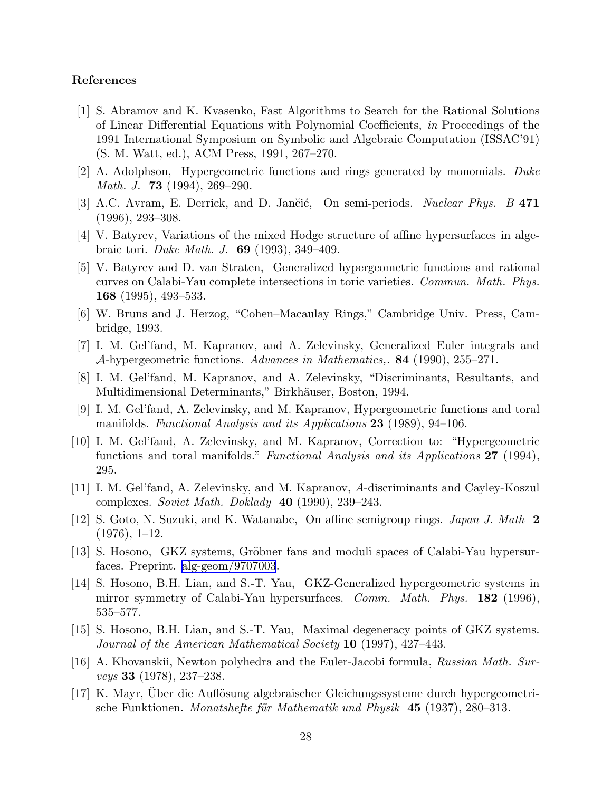# References

- [1] S. Abramov and K. Kvasenko, Fast Algorithms to Search for the Rational Solutions of Linear Differential Equations with Polynomial Coefficients, in Proceedings of the 1991 International Symposium on Symbolic and Algebraic Computation (ISSAC'91) (S. M. Watt, ed.), ACM Press, 1991, 267–270.
- [2] A. Adolphson, Hypergeometric functions and rings generated by monomials. Duke Math. J. **73** (1994), 269–290.
- [3] A.C. Avram, E. Derrick, and D. Jančić, On semi-periods. Nuclear Phys. B 471 (1996), 293–308.
- [4] V. Batyrev, Variations of the mixed Hodge structure of affine hypersurfaces in algebraic tori. Duke Math. J. 69 (1993), 349–409.
- [5] V. Batyrev and D. van Straten, Generalized hypergeometric functions and rational curves on Calabi-Yau complete intersections in toric varieties. Commun. Math. Phys. 168 (1995), 493–533.
- [6] W. Bruns and J. Herzog, "Cohen–Macaulay Rings," Cambridge Univ. Press, Cambridge, 1993.
- [7] I. M. Gel'fand, M. Kapranov, and A. Zelevinsky, Generalized Euler integrals and A-hypergeometric functions. Advances in Mathematics,. 84 (1990), 255–271.
- [8] I. M. Gel'fand, M. Kapranov, and A. Zelevinsky, "Discriminants, Resultants, and Multidimensional Determinants," Birkhäuser, Boston, 1994.
- [9] I. M. Gel'fand, A. Zelevinsky, and M. Kapranov, Hypergeometric functions and toral manifolds. Functional Analysis and its Applications 23 (1989), 94–106.
- [10] I. M. Gel'fand, A. Zelevinsky, and M. Kapranov, Correction to: "Hypergeometric functions and toral manifolds." *Functional Analysis and its Applications* 27 (1994), 295.
- [11] I. M. Gel'fand, A. Zelevinsky, and M. Kapranov, A-discriminants and Cayley-Koszul complexes. Soviet Math. Doklady  $40$  (1990), 239-243.
- [12] S. Goto, N. Suzuki, and K. Watanabe, On affine semigroup rings. Japan J. Math 2  $(1976), 1-12.$
- [13] S. Hosono, GKZ systems, Gröbner fans and moduli spaces of Calabi-Yau hypersurfaces. Preprint. [alg-geom/9707003](http://arxiv.org/abs/alg-geom/9707003).
- [14] S. Hosono, B.H. Lian, and S.-T. Yau, GKZ-Generalized hypergeometric systems in mirror symmetry of Calabi-Yau hypersurfaces. Comm. Math. Phys. 182 (1996), 535–577.
- [15] S. Hosono, B.H. Lian, and S.-T. Yau, Maximal degeneracy points of GKZ systems. Journal of the American Mathematical Society 10 (1997), 427–443.
- [16] A. Khovanskii, Newton polyhedra and the Euler-Jacobi formula, Russian Math. Surveys 33 (1978), 237–238.
- [17] K. Mayr, Uber die Auflösung algebraischer Gleichungssysteme durch hypergeometrische Funktionen. Monatshefte für Mathematik und Physik  $45$  (1937), 280–313.